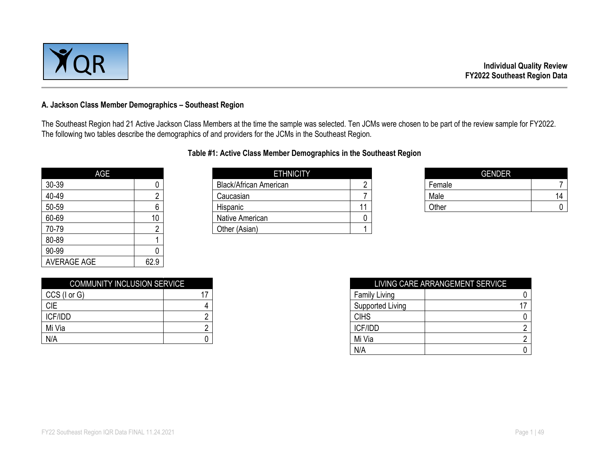

#### **A. Jackson Class Member Demographics – Southeast Region**

The Southeast Region had 21 Active Jackson Class Members at the time the sample was selected. Ten JCMs were chosen to be part of the review sample for FY2022. The following two tables describe the demographics of and providers for the JCMs in the Southeast Region.

| AGE                |                |
|--------------------|----------------|
| 30-39              | O              |
| 40-49              | 2              |
| 50-59              | 6              |
| 60-69              | 10             |
| 70-79              | $\overline{c}$ |
| 80-89              |                |
| 90-99              |                |
| <b>AVERAGE AGE</b> | 62.9           |

### **Table #1: Active Class Member Demographics in the Southeast Region**

| AGE   |  | <b>ETHNICITY</b>              |  |        | <b>GENDER</b> |
|-------|--|-------------------------------|--|--------|---------------|
| 30-39 |  | <b>Black/African American</b> |  | Female |               |
| 40-49 |  | Caucasian                     |  | Male   | 14            |
| 50-59 |  | Hispanic                      |  | Other  |               |
| 60-69 |  | Native American               |  |        |               |
| 70-79 |  | Other (Asian)                 |  |        |               |

| <b>GENDER</b> |    |
|---------------|----|
| Female        |    |
| Male          | 14 |
| Other         |    |

| <b>COMMUNITY INCLUSION SERVICE</b> |  |
|------------------------------------|--|
| CCS (I or G)                       |  |
| <b>CIE</b>                         |  |
| <b>ICF/IDD</b>                     |  |
| Mi Via                             |  |
| N/A                                |  |

| <b>COMMUNITY INCLUSION SERVICE</b> |                      | LIVING CARE ARRANGEMENT SERVICE |
|------------------------------------|----------------------|---------------------------------|
| CCS (I or G)                       | <b>Family Living</b> |                                 |
| <b>CIE</b>                         | Supported Living     |                                 |
| <b>ICF/IDD</b>                     | <b>CIHS</b>          |                                 |
| Mi Via                             | ICF/IDD              |                                 |
| N/A                                | Mi Via               |                                 |
|                                    | N/A                  |                                 |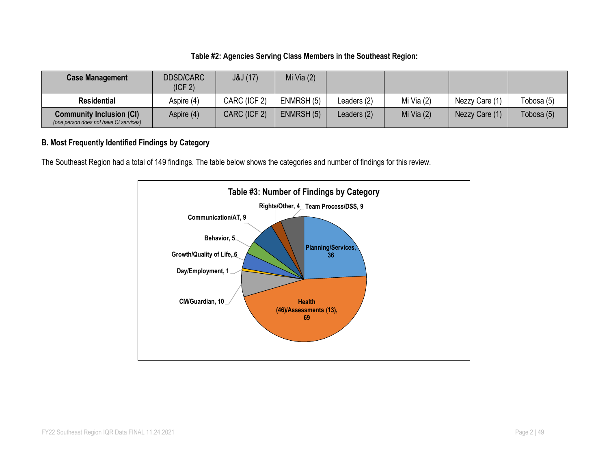### **Table #2: Agencies Serving Class Members in the Southeast Region:**

| <b>Case Management</b>                                                    | <b>DDSD/CARC</b><br>(ICF <sub>2</sub> ) | J&J(17)      | Mi Via $(2)$ |             |              |                |            |
|---------------------------------------------------------------------------|-----------------------------------------|--------------|--------------|-------------|--------------|----------------|------------|
| <b>Residential</b>                                                        | Aspire (4)                              | CARC (ICF 2) | ENMRSH (5)   | Leaders (2) | Mi Via $(2)$ | Nezzy Care (1) | Tobosa (5) |
| <b>Community Inclusion (CI)</b><br>(one person does not have CI services) | Aspire (4)                              | CARC (ICF 2) | ENMRSH (5)   | Leaders (2) | Mi Via $(2)$ | Nezzy Care (1) | Tobosa (5) |

### **B. Most Frequently Identified Findings by Category**

The Southeast Region had a total of 149 findings. The table below shows the categories and number of findings for this review.

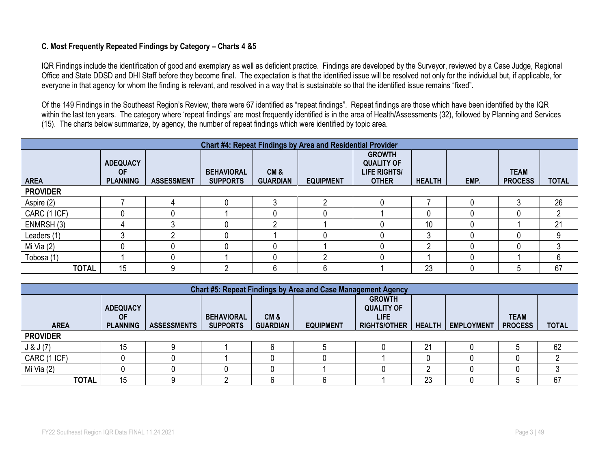### **C. Most Frequently Repeated Findings by Category – Charts 4 &5**

IQR Findings include the identification of good and exemplary as well as deficient practice. Findings are developed by the Surveyor, reviewed by a Case Judge, Regional Office and State DDSD and DHI Staff before they become final. The expectation is that the identified issue will be resolved not only for the individual but, if applicable, for everyone in that agency for whom the finding is relevant, and resolved in a way that is sustainable so that the identified issue remains "fixed".

Of the 149 Findings in the Southeast Region's Review, there were 67 identified as "repeat findings". Repeat findings are those which have been identified by the IQR within the last ten years. The category where 'repeat findings' are most frequently identified is in the area of Health/Assessments (32), followed by Planning and Services (15). The charts below summarize, by agency, the number of repeat findings which were identified by topic area.

|                 | <b>Chart #4: Repeat Findings by Area and Residential Provider</b> |                   |                                      |                        |                  |                                                                           |               |      |                               |              |  |  |  |
|-----------------|-------------------------------------------------------------------|-------------------|--------------------------------------|------------------------|------------------|---------------------------------------------------------------------------|---------------|------|-------------------------------|--------------|--|--|--|
| <b>AREA</b>     | <b>ADEQUACY</b><br><b>OF</b><br><b>PLANNING</b>                   | <b>ASSESSMENT</b> | <b>BEHAVIORAL</b><br><b>SUPPORTS</b> | CM&<br><b>GUARDIAN</b> | <b>EQUIPMENT</b> | <b>GROWTH</b><br><b>QUALITY OF</b><br><b>LIFE RIGHTS/</b><br><b>OTHER</b> | <b>HEALTH</b> | EMP. | <b>TEAM</b><br><b>PROCESS</b> | <b>TOTAL</b> |  |  |  |
| <b>PROVIDER</b> |                                                                   |                   |                                      |                        |                  |                                                                           |               |      |                               |              |  |  |  |
| Aspire (2)      |                                                                   |                   |                                      |                        |                  |                                                                           |               |      |                               | 26           |  |  |  |
| CARC (1 ICF)    |                                                                   |                   |                                      |                        |                  |                                                                           | 0             |      |                               | ŋ            |  |  |  |
| ENMRSH (3)      |                                                                   |                   |                                      | ⌒                      |                  |                                                                           | 10            |      |                               | 21           |  |  |  |
| Leaders (1)     |                                                                   |                   |                                      |                        |                  |                                                                           | 3             |      |                               |              |  |  |  |
| Mi Via $(2)$    |                                                                   |                   |                                      |                        |                  |                                                                           | ∩             |      |                               |              |  |  |  |
| Tobosa (1)      |                                                                   |                   |                                      |                        |                  |                                                                           |               |      |                               | n            |  |  |  |
| <b>TOTAL</b>    | 15                                                                |                   |                                      | 6                      | h                |                                                                           | 23            |      |                               | 67           |  |  |  |

|                 | <b>Chart #5: Repeat Findings by Area and Case Management Agency</b> |                    |                                      |                        |                  |                                                                          |               |                   |                               |              |  |  |
|-----------------|---------------------------------------------------------------------|--------------------|--------------------------------------|------------------------|------------------|--------------------------------------------------------------------------|---------------|-------------------|-------------------------------|--------------|--|--|
| <b>AREA</b>     | <b>ADEQUACY</b><br><b>OF</b><br><b>PLANNING</b>                     | <b>ASSESSMENTS</b> | <b>BEHAVIORAL</b><br><b>SUPPORTS</b> | CM&<br><b>GUARDIAN</b> | <b>EQUIPMENT</b> | <b>GROWTH</b><br><b>QUALITY OF</b><br><b>LIFE</b><br><b>RIGHTS/OTHER</b> | <b>HEALTH</b> | <b>EMPLOYMENT</b> | <b>TEAM</b><br><b>PROCESS</b> | <b>TOTAL</b> |  |  |
| <b>PROVIDER</b> |                                                                     |                    |                                      |                        |                  |                                                                          |               |                   |                               |              |  |  |
| J & J(7)        | 15                                                                  |                    |                                      |                        |                  |                                                                          | 21            |                   |                               | 62           |  |  |
| CARC (1 ICF)    |                                                                     |                    |                                      |                        |                  |                                                                          | 0             |                   |                               |              |  |  |
| Mi Via (2)      |                                                                     |                    |                                      |                        |                  |                                                                          | n             |                   |                               |              |  |  |
| <b>TOTAL</b>    | 15                                                                  | 9                  |                                      |                        |                  |                                                                          | 23            |                   |                               | 67           |  |  |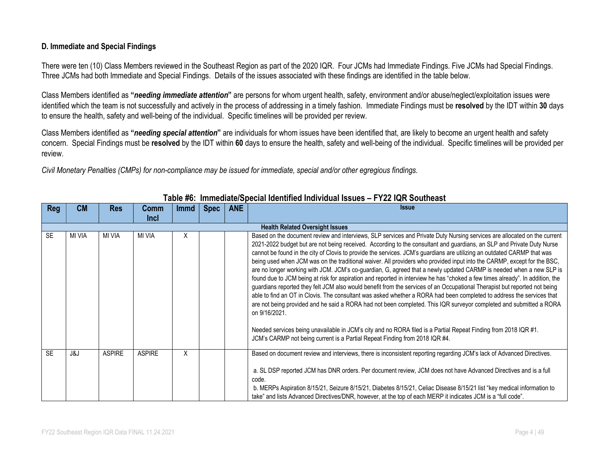#### **D. Immediate and Special Findings**

There were ten (10) Class Members reviewed in the Southeast Region as part of the 2020 IQR. Four JCMs had Immediate Findings. Five JCMs had Special Findings. Three JCMs had both Immediate and Special Findings. Details of the issues associated with these findings are identified in the table below.

Class Members identified as **"***needing immediate attention***"** are persons for whom urgent health, safety, environment and/or abuse/neglect/exploitation issues were identified which the team is not successfully and actively in the process of addressing in a timely fashion. Immediate Findings must be **resolved** by the IDT within **30** days to ensure the health, safety and well-being of the individual. Specific timelines will be provided per review.

Class Members identified as **"***needing special attention***"** are individuals for whom issues have been identified that, are likely to become an urgent health and safety concern. Special Findings must be **resolved** by the IDT within **60** days to ensure the health, safety and well-being of the individual. Specific timelines will be provided per review.

*Civil Monetary Penalties (CMPs) for non-compliance may be issued for immediate, special and/or other egregious findings.*

| Reg       | <b>CM</b>                              | <b>Res</b>    | Comm          | <b>Immd</b> | <b>Spec</b> | <b>ANE</b> | <b>Issue</b>                                                                                                                                                                                                                                                                                                                                                                                                                                                                                                                                                                                                                                                                                                                                                                                                                                                                                                                                                                                                                                                                                                                                                                                                                                                                    |  |  |  |  |  |
|-----------|----------------------------------------|---------------|---------------|-------------|-------------|------------|---------------------------------------------------------------------------------------------------------------------------------------------------------------------------------------------------------------------------------------------------------------------------------------------------------------------------------------------------------------------------------------------------------------------------------------------------------------------------------------------------------------------------------------------------------------------------------------------------------------------------------------------------------------------------------------------------------------------------------------------------------------------------------------------------------------------------------------------------------------------------------------------------------------------------------------------------------------------------------------------------------------------------------------------------------------------------------------------------------------------------------------------------------------------------------------------------------------------------------------------------------------------------------|--|--|--|--|--|
|           |                                        |               | <b>Incl</b>   |             |             |            |                                                                                                                                                                                                                                                                                                                                                                                                                                                                                                                                                                                                                                                                                                                                                                                                                                                                                                                                                                                                                                                                                                                                                                                                                                                                                 |  |  |  |  |  |
|           | <b>Health Related Oversight Issues</b> |               |               |             |             |            |                                                                                                                                                                                                                                                                                                                                                                                                                                                                                                                                                                                                                                                                                                                                                                                                                                                                                                                                                                                                                                                                                                                                                                                                                                                                                 |  |  |  |  |  |
| <b>SE</b> | MI VIA                                 | MI VIA        | <b>MI VIA</b> | Χ           |             |            | Based on the document review and interviews, SLP services and Private Duty Nursing services are allocated on the current<br>2021-2022 budget but are not being received. According to the consultant and guardians, an SLP and Private Duty Nurse<br>cannot be found in the city of Clovis to provide the services. JCM's guardians are utilizing an outdated CARMP that was<br>being used when JCM was on the traditional waiver. All providers who provided input into the CARMP, except for the BSC,<br>are no longer working with JCM. JCM's co-guardian, G, agreed that a newly updated CARMP is needed when a new SLP is<br>found due to JCM being at risk for aspiration and reported in interview he has "choked a few times already". In addition, the<br>guardians reported they felt JCM also would benefit from the services of an Occupational Therapist but reported not being<br>able to find an OT in Clovis. The consultant was asked whether a RORA had been completed to address the services that<br>are not being provided and he said a RORA had not been completed. This IQR surveyor completed and submitted a RORA<br>on 9/16/2021.<br>Needed services being unavailable in JCM's city and no RORA filed is a Partial Repeat Finding from 2018 IQR #1. |  |  |  |  |  |
|           |                                        |               |               |             |             |            | JCM's CARMP not being current is a Partial Repeat Finding from 2018 IQR #4.                                                                                                                                                                                                                                                                                                                                                                                                                                                                                                                                                                                                                                                                                                                                                                                                                                                                                                                                                                                                                                                                                                                                                                                                     |  |  |  |  |  |
| <b>SF</b> | J&J                                    | <b>ASPIRE</b> | <b>ASPIRE</b> | Χ           |             |            | Based on document review and interviews, there is inconsistent reporting regarding JCM's lack of Advanced Directives.                                                                                                                                                                                                                                                                                                                                                                                                                                                                                                                                                                                                                                                                                                                                                                                                                                                                                                                                                                                                                                                                                                                                                           |  |  |  |  |  |
|           |                                        |               |               |             |             |            | a. SL DSP reported JCM has DNR orders. Per document review, JCM does not have Advanced Directives and is a full<br>code.<br>b. MERPs Aspiration 8/15/21, Seizure 8/15/21, Diabetes 8/15/21, Celiac Disease 8/15/21 list "key medical information to<br>take" and lists Advanced Directives/DNR, however, at the top of each MERP it indicates JCM is a "full code".                                                                                                                                                                                                                                                                                                                                                                                                                                                                                                                                                                                                                                                                                                                                                                                                                                                                                                             |  |  |  |  |  |

### **Table #6: Immediate/Special Identified Individual Issues – FY22 IQR Southeast**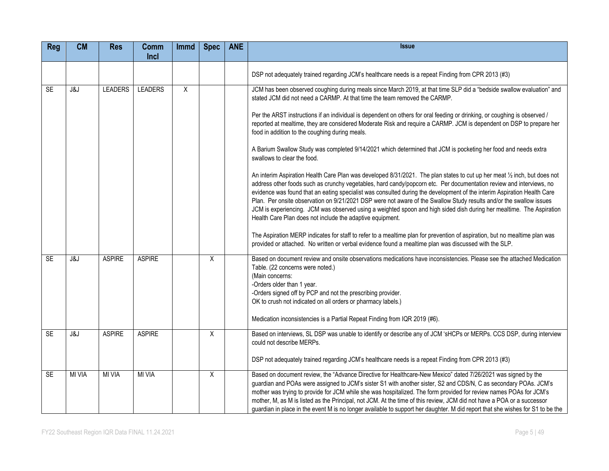| <b>Reg</b> | <b>CM</b>     | <b>Res</b>     | <b>Comm</b><br>Incl | <b>Immd</b> | <b>Spec</b>    | <b>ANE</b> | <b>Issue</b>                                                                                                                                                                                                                                                                                                                                                                                                                                                                                                                                                                                                                                                                            |
|------------|---------------|----------------|---------------------|-------------|----------------|------------|-----------------------------------------------------------------------------------------------------------------------------------------------------------------------------------------------------------------------------------------------------------------------------------------------------------------------------------------------------------------------------------------------------------------------------------------------------------------------------------------------------------------------------------------------------------------------------------------------------------------------------------------------------------------------------------------|
|            |               |                |                     |             |                |            |                                                                                                                                                                                                                                                                                                                                                                                                                                                                                                                                                                                                                                                                                         |
|            |               |                |                     |             |                |            | DSP not adequately trained regarding JCM's healthcare needs is a repeat Finding from CPR 2013 (#3)                                                                                                                                                                                                                                                                                                                                                                                                                                                                                                                                                                                      |
| <b>SE</b>  | J&J           | <b>LEADERS</b> | <b>LEADERS</b>      | X           |                |            | JCM has been observed coughing during meals since March 2019, at that time SLP did a "bedside swallow evaluation" and<br>stated JCM did not need a CARMP. At that time the team removed the CARMP.                                                                                                                                                                                                                                                                                                                                                                                                                                                                                      |
|            |               |                |                     |             |                |            | Per the ARST instructions if an individual is dependent on others for oral feeding or drinking, or coughing is observed /<br>reported at mealtime, they are considered Moderate Risk and require a CARMP. JCM is dependent on DSP to prepare her<br>food in addition to the coughing during meals.                                                                                                                                                                                                                                                                                                                                                                                      |
|            |               |                |                     |             |                |            | A Barium Swallow Study was completed 9/14/2021 which determined that JCM is pocketing her food and needs extra<br>swallows to clear the food.                                                                                                                                                                                                                                                                                                                                                                                                                                                                                                                                           |
|            |               |                |                     |             |                |            | An interim Aspiration Health Care Plan was developed 8/31/2021. The plan states to cut up her meat 1/2 inch, but does not<br>address other foods such as crunchy vegetables, hard candy/popcorn etc. Per documentation review and interviews, no<br>evidence was found that an eating specialist was consulted during the development of the interim Aspiration Health Care<br>Plan. Per onsite observation on 9/21/2021 DSP were not aware of the Swallow Study results and/or the swallow issues<br>JCM is experiencing. JCM was observed using a weighted spoon and high sided dish during her mealtime. The Aspiration<br>Health Care Plan does not include the adaptive equipment. |
|            |               |                |                     |             |                |            | The Aspiration MERP indicates for staff to refer to a mealtime plan for prevention of aspiration, but no mealtime plan was<br>provided or attached. No written or verbal evidence found a mealtime plan was discussed with the SLP.                                                                                                                                                                                                                                                                                                                                                                                                                                                     |
| <b>SE</b>  | J&J           | <b>ASPIRE</b>  | <b>ASPIRE</b>       |             | X              |            | Based on document review and onsite observations medications have inconsistencies. Please see the attached Medication<br>Table. (22 concerns were noted.)<br>(Main concerns:<br>-Orders older than 1 year.<br>-Orders signed off by PCP and not the prescribing provider.<br>OK to crush not indicated on all orders or pharmacy labels.)                                                                                                                                                                                                                                                                                                                                               |
|            |               |                |                     |             |                |            | Medication inconsistencies is a Partial Repeat Finding from IQR 2019 (#6).                                                                                                                                                                                                                                                                                                                                                                                                                                                                                                                                                                                                              |
| SE         | J&J           | <b>ASPIRE</b>  | <b>ASPIRE</b>       |             | $\overline{X}$ |            | Based on interviews, SL DSP was unable to identify or describe any of JCM 'sHCPs or MERPs. CCS DSP, during interview<br>could not describe MERPs.                                                                                                                                                                                                                                                                                                                                                                                                                                                                                                                                       |
|            |               |                |                     |             |                |            | DSP not adequately trained regarding JCM's healthcare needs is a repeat Finding from CPR 2013 (#3)                                                                                                                                                                                                                                                                                                                                                                                                                                                                                                                                                                                      |
| SE         | <b>MI VIA</b> | <b>MI VIA</b>  | <b>MI VIA</b>       |             | X              |            | Based on document review, the "Advance Directive for Healthcare-New Mexico" dated 7/26/2021 was signed by the<br>guardian and POAs were assigned to JCM's sister S1 with another sister, S2 and CDS/N, C as secondary POAs. JCM's<br>mother was trying to provide for JCM while she was hospitalized. The form provided for review names POAs for JCM's<br>mother, M, as M is listed as the Principal, not JCM. At the time of this review, JCM did not have a POA or a successor<br>guardian in place in the event M is no longer available to support her daughter. M did report that she wishes for S1 to be the                                                                     |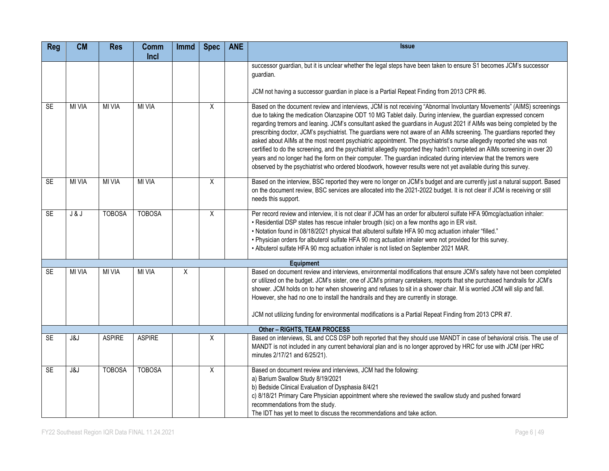| <b>Reg</b> | <b>CM</b>     | <b>Res</b>    | <b>Comm</b><br>Incl | <b>Immd</b> | <b>Spec</b> | <b>ANE</b> | <b>Issue</b>                                                                                                                                                                                                                                                                                                                                                                                                                                                                                                                                                                                                                                                                                                                                                                                                                                                                                                                                                                            |
|------------|---------------|---------------|---------------------|-------------|-------------|------------|-----------------------------------------------------------------------------------------------------------------------------------------------------------------------------------------------------------------------------------------------------------------------------------------------------------------------------------------------------------------------------------------------------------------------------------------------------------------------------------------------------------------------------------------------------------------------------------------------------------------------------------------------------------------------------------------------------------------------------------------------------------------------------------------------------------------------------------------------------------------------------------------------------------------------------------------------------------------------------------------|
|            |               |               |                     |             |             |            | successor guardian, but it is unclear whether the legal steps have been taken to ensure S1 becomes JCM's successor<br>guardian.                                                                                                                                                                                                                                                                                                                                                                                                                                                                                                                                                                                                                                                                                                                                                                                                                                                         |
|            |               |               |                     |             |             |            | JCM not having a successor guardian in place is a Partial Repeat Finding from 2013 CPR #6.                                                                                                                                                                                                                                                                                                                                                                                                                                                                                                                                                                                                                                                                                                                                                                                                                                                                                              |
| <b>SE</b>  | <b>MI VIA</b> | <b>MI VIA</b> | <b>MI VIA</b>       |             | X           |            | Based on the document review and interviews, JCM is not receiving "Abnormal Involuntary Movements" (AIMS) screenings<br>due to taking the medication Olanzapine ODT 10 MG Tablet daily. During interview, the guardian expressed concern<br>regarding tremors and leaning. JCM's consultant asked the guardians in August 2021 if AIMs was being completed by the<br>prescribing doctor, JCM's psychiatrist. The guardians were not aware of an AIMs screening. The guardians reported they<br>asked about AIMs at the most recent psychiatric appointment. The psychiatrist's nurse allegedly reported she was not<br>certified to do the screening, and the psychiatrist allegedly reported they hadn't completed an AIMs screening in over 20<br>years and no longer had the form on their computer. The guardian indicated during interview that the tremors were<br>observed by the psychiatrist who ordered bloodwork, however results were not yet available during this survey. |
| SE         | <b>MI VIA</b> | <b>MI VIA</b> | <b>MI VIA</b>       |             | X           |            | Based on the interview, BSC reported they were no longer on JCM's budget and are currently just a natural support. Based<br>on the document review, BSC services are allocated into the 2021-2022 budget. It is not clear if JCM is receiving or still<br>needs this support.                                                                                                                                                                                                                                                                                                                                                                                                                                                                                                                                                                                                                                                                                                           |
| <b>SE</b>  | J & J         | <b>TOBOSA</b> | <b>TOBOSA</b>       |             | X           |            | Per record review and interview, it is not clear if JCM has an order for albuterol sulfate HFA 90mcg/actuation inhaler:<br>. Residential DSP states has rescue inhaler brougth (sic) on a few months ago in ER visit.<br>. Notation found in 08/18/2021 physical that albuterol sulfate HFA 90 mcg actuation inhaler "filled."<br>. Physician orders for albuterol sulfate HFA 90 mcg actuation inhaler were not provided for this survey.<br>• Albuterol sulfate HFA 90 mcg actuation inhaler is not listed on September 2021 MAR.                                                                                                                                                                                                                                                                                                                                                                                                                                                     |
|            |               |               |                     |             |             |            | <b>Equipment</b>                                                                                                                                                                                                                                                                                                                                                                                                                                                                                                                                                                                                                                                                                                                                                                                                                                                                                                                                                                        |
| <b>SE</b>  | <b>MI VIA</b> | <b>MI VIA</b> | <b>MI VIA</b>       | X           |             |            | Based on document review and interviews, environmental modifications that ensure JCM's safety have not been completed<br>or utilized on the budget. JCM's sister, one of JCM's primary caretakers, reports that she purchased handrails for JCM's<br>shower. JCM holds on to her when showering and refuses to sit in a shower chair. M is worried JCM will slip and fall.<br>However, she had no one to install the handrails and they are currently in storage.<br>JCM not utilizing funding for environmental modifications is a Partial Repeat Finding from 2013 CPR #7.                                                                                                                                                                                                                                                                                                                                                                                                            |
|            |               |               |                     |             |             |            | <b>Other - RIGHTS, TEAM PROCESS</b>                                                                                                                                                                                                                                                                                                                                                                                                                                                                                                                                                                                                                                                                                                                                                                                                                                                                                                                                                     |
| <b>SE</b>  | J&J           | <b>ASPIRE</b> | <b>ASPIRE</b>       |             | Χ           |            | Based on interviews, SL and CCS DSP both reported that they should use MANDT in case of behavioral crisis. The use of<br>MANDT is not included in any current behavioral plan and is no longer approved by HRC for use with JCM (per HRC<br>minutes 2/17/21 and 6/25/21).                                                                                                                                                                                                                                                                                                                                                                                                                                                                                                                                                                                                                                                                                                               |
| <b>SE</b>  | J&J           | <b>TOBOSA</b> | <b>TOBOSA</b>       |             | X           |            | Based on document review and interviews, JCM had the following:<br>a) Barium Swallow Study 8/19/2021<br>b) Bedside Clinical Evaluation of Dysphasia 8/4/21<br>c) 8/18/21 Primary Care Physician appointment where she reviewed the swallow study and pushed forward<br>recommendations from the study.<br>The IDT has yet to meet to discuss the recommendations and take action.                                                                                                                                                                                                                                                                                                                                                                                                                                                                                                                                                                                                       |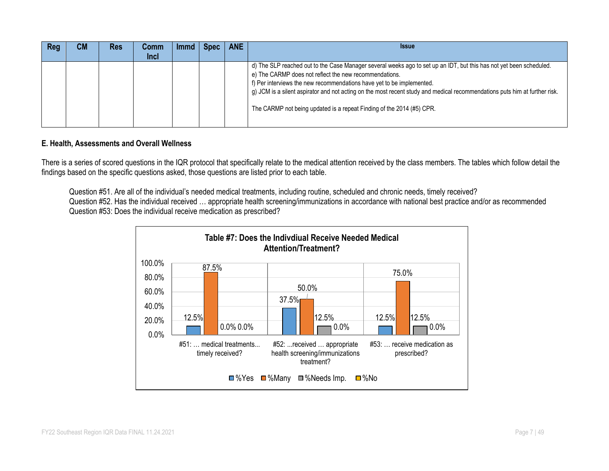| Reg | CМ | <b>Res</b> | Comm        | <b>Immd</b> | <b>Spec</b> | <b>ANE</b> | <b>Issue</b>                                                                                                                                                                                                                                                                                                                                                                                                                                                  |
|-----|----|------------|-------------|-------------|-------------|------------|---------------------------------------------------------------------------------------------------------------------------------------------------------------------------------------------------------------------------------------------------------------------------------------------------------------------------------------------------------------------------------------------------------------------------------------------------------------|
|     |    |            | <b>Incl</b> |             |             |            |                                                                                                                                                                                                                                                                                                                                                                                                                                                               |
|     |    |            |             |             |             |            | d) The SLP reached out to the Case Manager several weeks ago to set up an IDT, but this has not yet been scheduled.<br>e) The CARMP does not reflect the new recommendations.<br>f) Per interviews the new recommendations have yet to be implemented.<br>g) JCM is a silent aspirator and not acting on the most recent study and medical recommendations puts him at further risk.<br>The CARMP not being updated is a repeat Finding of the 2014 (#5) CPR. |

#### **E. Health, Assessments and Overall Wellness**

There is a series of scored questions in the IQR protocol that specifically relate to the medical attention received by the class members. The tables which follow detail the findings based on the specific questions asked, those questions are listed prior to each table.

Question #51. Are all of the individual's needed medical treatments, including routine, scheduled and chronic needs, timely received? Question #52. Has the individual received ... appropriate health screening/immunizations in accordance with national best practice and/or as recommended Question #53: Does the individual receive medication as prescribed?

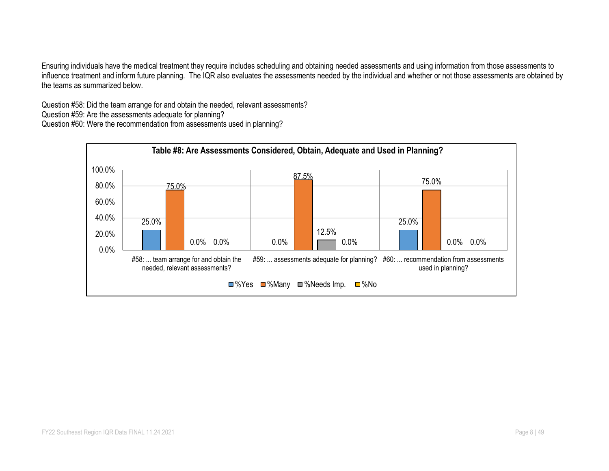Ensuring individuals have the medical treatment they require includes scheduling and obtaining needed assessments and using information from those assessments to influence treatment and inform future planning. The IQR also evaluates the assessments needed by the individual and whether or not those assessments are obtained by the teams as summarized below.

Question #58: Did the team arrange for and obtain the needed, relevant assessments?

Question #59: Are the assessments adequate for planning?

Question #60: Were the recommendation from assessments used in planning?

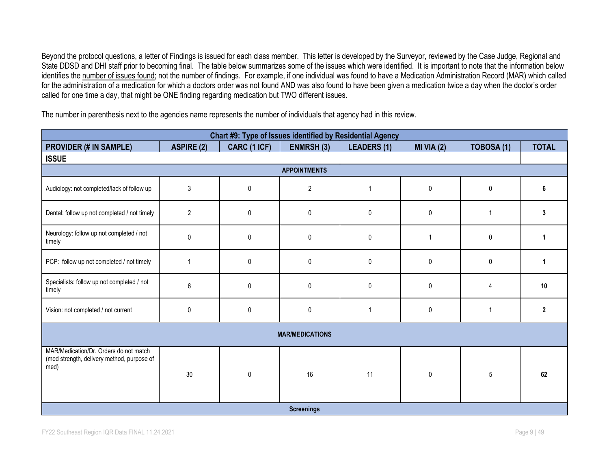Beyond the protocol questions, a letter of Findings is issued for each class member. This letter is developed by the Surveyor, reviewed by the Case Judge, Regional and State DDSD and DHI staff prior to becoming final. The table below summarizes some of the issues which were identified. It is important to note that the information below identifies the number of issues found; not the number of findings. For example, if one individual was found to have a Medication Administration Record (MAR) which called for the administration of a medication for which a doctors order was not found AND was also found to have been given a medication twice a day when the doctor's order called for one time a day, that might be ONE finding regarding medication but TWO different issues.

The number in parenthesis next to the agencies name represents the number of individuals that agency had in this review.

|                                                                                              |                         |              |                        | Chart #9: Type of Issues identified by Residential Agency |              |                |                |
|----------------------------------------------------------------------------------------------|-------------------------|--------------|------------------------|-----------------------------------------------------------|--------------|----------------|----------------|
| <b>PROVIDER (# IN SAMPLE)</b>                                                                | <b>ASPIRE (2)</b>       | CARC (1 ICF) | <b>ENMRSH (3)</b>      | <b>LEADERS (1)</b>                                        | MI VIA $(2)$ | TOBOSA (1)     | <b>TOTAL</b>   |
| <b>ISSUE</b>                                                                                 |                         |              |                        |                                                           |              |                |                |
|                                                                                              |                         |              | <b>APPOINTMENTS</b>    |                                                           |              |                |                |
| Audiology: not completed/lack of follow up                                                   | 3                       | 0            | $\overline{c}$         | $\mathbf 1$                                               | $\pmb{0}$    | $\mathbf 0$    | 6              |
| Dental: follow up not completed / not timely                                                 | $\overline{\mathbf{c}}$ | 0            | $\pmb{0}$              | 0                                                         | $\pmb{0}$    | $\overline{1}$ | 3              |
| Neurology: follow up not completed / not<br>timely                                           | 0                       | 0            | 0                      | $\mathbf{0}$                                              |              | $\mathbf 0$    | 1              |
| PCP: follow up not completed / not timely                                                    | 1                       | 0            | 0                      | $\mathbf{0}$                                              | 0            | 0              | 1              |
| Specialists: follow up not completed / not<br>timely                                         | 6                       | $\pmb{0}$    | $\pmb{0}$              | $\mathbf 0$                                               | $\mathbf{0}$ | $\overline{4}$ | 10             |
| Vision: not completed / not current                                                          | 0                       | 0            | 0                      | $\mathbf 1$                                               | $\mathbf 0$  | $\overline{1}$ | $\overline{2}$ |
|                                                                                              |                         |              | <b>MAR/MEDICATIONS</b> |                                                           |              |                |                |
| MAR/Medication/Dr. Orders do not match<br>(med strength, delivery method, purpose of<br>med) | 30                      | $\pmb{0}$    | 16                     | 11                                                        | $\pmb{0}$    | 5              | 62             |
|                                                                                              |                         |              | <b>Screenings</b>      |                                                           |              |                |                |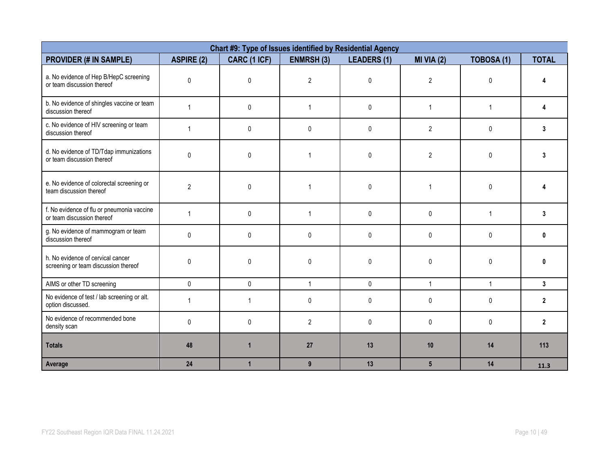|                                                                           |                   | Chart #9: Type of Issues identified by Residential Agency |                |                    |                |                   |                |
|---------------------------------------------------------------------------|-------------------|-----------------------------------------------------------|----------------|--------------------|----------------|-------------------|----------------|
| <b>PROVIDER (# IN SAMPLE)</b>                                             | <b>ASPIRE (2)</b> | CARC (1 ICF)                                              | ENMRSH(3)      | <b>LEADERS (1)</b> | MI VIA $(2)$   | <b>TOBOSA (1)</b> | <b>TOTAL</b>   |
| a. No evidence of Hep B/HepC screening<br>or team discussion thereof      | 0                 | $\pmb{0}$                                                 | $\overline{2}$ | 0                  | $\overline{2}$ | $\mathbf{0}$      |                |
| b. No evidence of shingles vaccine or team<br>discussion thereof          | $\mathbf{1}$      | $\mathbf{0}$                                              | $\mathbf{1}$   | 0                  | $\mathbf{1}$   | $\mathbf{1}$      | 4              |
| c. No evidence of HIV screening or team<br>discussion thereof             | $\mathbf{1}$      | 0                                                         | $\mathbf{0}$   | 0                  | $\overline{2}$ | $\Omega$          | 3              |
| d. No evidence of TD/Tdap immunizations<br>or team discussion thereof     | 0                 | $\pmb{0}$                                                 | $\mathbf{1}$   | 0                  | $\overline{2}$ | $\mathbf{0}$      | 3              |
| e. No evidence of colorectal screening or<br>team discussion thereof      | $\overline{2}$    | $\mathbf 0$                                               | 1              | $\mathbf{0}$       | $\mathbf 1$    | $\Omega$          |                |
| f. No evidence of flu or pneumonia vaccine<br>or team discussion thereof  | $\mathbf{1}$      | 0                                                         | $\mathbf{1}$   | $\mathbf{0}$       | $\mathbf{0}$   | $\overline{1}$    | 3              |
| g. No evidence of mammogram or team<br>discussion thereof                 | 0                 | $\pmb{0}$                                                 | 0              | $\pmb{0}$          | 0              | $\mathbf{0}$      | $\bf{0}$       |
| h. No evidence of cervical cancer<br>screening or team discussion thereof | 0                 | 0                                                         | 0              | 0                  | $\mathbf{0}$   | $\mathbf{0}$      | $\mathbf{0}$   |
| AIMS or other TD screening                                                | $\mathbf{0}$      | $\mathbf{0}$                                              | $\mathbf{1}$   | $\mathbf{0}$       | $\mathbf{1}$   | $\mathbf{1}$      | $\mathbf{3}$   |
| No evidence of test / lab screening or alt.<br>option discussed.          | $\mathbf{1}$      | $\mathbf{1}$                                              | 0              | 0                  | $\mathbf{0}$   | $\Omega$          | $\overline{2}$ |
| No evidence of recommended bone<br>density scan                           | 0                 | $\mathbf 0$                                               | $\overline{2}$ | 0                  | 0              | $\mathbf{0}$      | $\overline{2}$ |
| <b>Totals</b>                                                             | 48                | $\overline{1}$                                            | 27             | 13                 | 10             | 14                | 113            |
| Average                                                                   | 24                | $\mathbf{1}$                                              | $\overline{9}$ | 13                 | 5 <sup>5</sup> | 14                | 11.3           |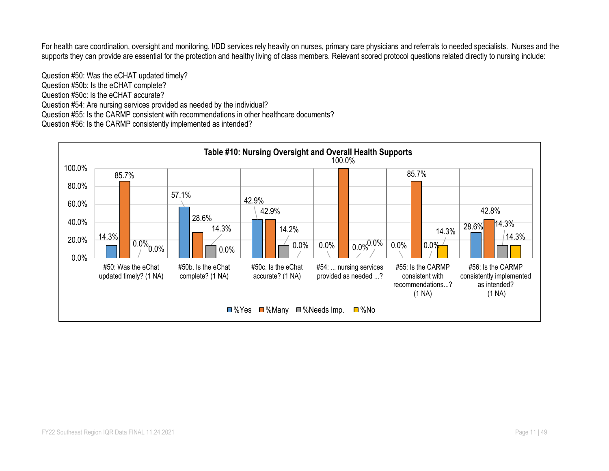For health care coordination, oversight and monitoring, I/DD services rely heavily on nurses, primary care physicians and referrals to needed specialists. Nurses and the supports they can provide are essential for the protection and healthy living of class members. Relevant scored protocol questions related directly to nursing include:

Question #50: Was the eCHAT updated timely? Question #50b: Is the eCHAT complete? Question #50c: Is the eCHAT accurate? Question #54: Are nursing services provided as needed by the individual? Question #55: Is the CARMP consistent with recommendations in other healthcare documents? Question #56: Is the CARMP consistently implemented as intended?

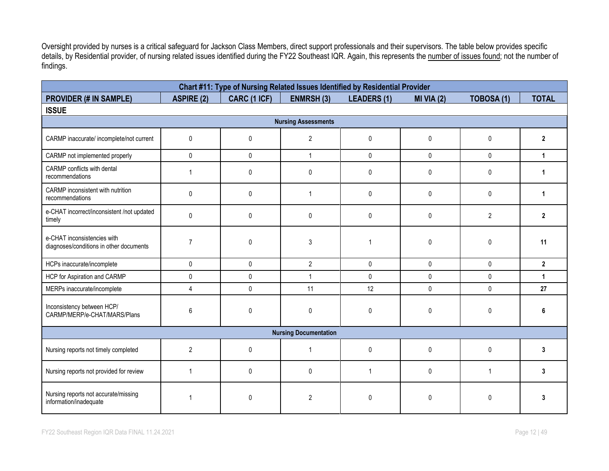Oversight provided by nurses is a critical safeguard for Jackson Class Members, direct support professionals and their supervisors. The table below provides specific details, by Residential provider, of nursing related issues identified during the FY22 Southeast IQR. Again, this represents the number of issues found; not the number of findings.

|                                                                        |                   | Chart #11: Type of Nursing Related Issues Identified by Residential Provider |                              |                    |              |                   |                |
|------------------------------------------------------------------------|-------------------|------------------------------------------------------------------------------|------------------------------|--------------------|--------------|-------------------|----------------|
| <b>PROVIDER (# IN SAMPLE)</b>                                          | <b>ASPIRE (2)</b> | CARC (1 ICF)                                                                 | <b>ENMRSH (3)</b>            | <b>LEADERS (1)</b> | $MI$ VIA (2) | <b>TOBOSA (1)</b> | <b>TOTAL</b>   |
| <b>ISSUE</b>                                                           |                   |                                                                              |                              |                    |              |                   |                |
|                                                                        |                   |                                                                              | <b>Nursing Assessments</b>   |                    |              |                   |                |
| CARMP inaccurate/ incomplete/not current                               | 0                 | $\mathbf{0}$                                                                 | $\overline{2}$               | $\pmb{0}$          | $\pmb{0}$    | $\mathbf{0}$      | $\overline{2}$ |
| CARMP not implemented properly                                         | $\pmb{0}$         | $\mathbf{0}$                                                                 | $\mathbf{1}$                 | $\mathbf 0$        | $\mathsf{0}$ | $\mathsf{O}$      | $\mathbf{1}$   |
| CARMP conflicts with dental<br>recommendations                         | $\mathbf 1$       | $\mathbf{0}$                                                                 | $\mathbf 0$                  | $\mathbf{0}$       | $\mathbf{0}$ | $\mathbf{0}$      | 1              |
| CARMP inconsistent with nutrition<br>recommendations                   | $\mathbf 0$       | $\mathbf 0$                                                                  | $\mathbf{1}$                 | $\pmb{0}$          | 0            | $\mathbf{0}$      | $\mathbf{1}$   |
| e-CHAT incorrect/inconsistent /not updated<br>timely                   | 0                 | $\mathbf{0}$                                                                 | $\mathbf 0$                  | $\mathbf 0$        | $\mathbf 0$  | $\overline{2}$    | $\mathbf{2}$   |
| e-CHAT inconsistencies with<br>diagnoses/conditions in other documents | $\overline{7}$    | $\mathbf{0}$                                                                 | 3                            |                    | $\pmb{0}$    | $\mathbf{0}$      | 11             |
| HCPs inaccurate/incomplete                                             | $\mathbf 0$       | $\mathbf 0$                                                                  | $\overline{2}$               | $\mathbf 0$        | $\mathbf 0$  | $\mathbf 0$       | $\overline{2}$ |
| HCP for Aspiration and CARMP                                           | $\pmb{0}$         | $\mathbf 0$                                                                  | $\mathbf{1}$                 | $\mathbf 0$        | $\mathsf{0}$ | $\mathbf{0}$      | $\mathbf{1}$   |
| MERPs inaccurate/incomplete                                            | $\overline{4}$    | $\pmb{0}$                                                                    | 11                           | 12                 | $\mathsf{0}$ | $\pmb{0}$         | 27             |
| Inconsistency between HCP/<br>CARMP/MERP/e-CHAT/MARS/Plans             | 6                 | $\mathbf 0$                                                                  | 0                            | 0                  | 0            | $\mathbf 0$       | 6              |
|                                                                        |                   |                                                                              | <b>Nursing Documentation</b> |                    |              |                   |                |
| Nursing reports not timely completed                                   | $\overline{2}$    | $\mathbf{0}$                                                                 | 1                            | $\mathbf{0}$       | $\mathbf{0}$ | $\mathbf{0}$      | 3              |
| Nursing reports not provided for review                                | $\mathbf{1}$      | $\mathbf{0}$                                                                 | $\mathbf 0$                  | $\overline{1}$     | 0            | $\mathbf{1}$      | 3              |
| Nursing reports not accurate/missing<br>information/inadequate         | 1                 | $\mathbf{0}$                                                                 | 2                            | 0                  | $\mathbf 0$  | 0                 | 3              |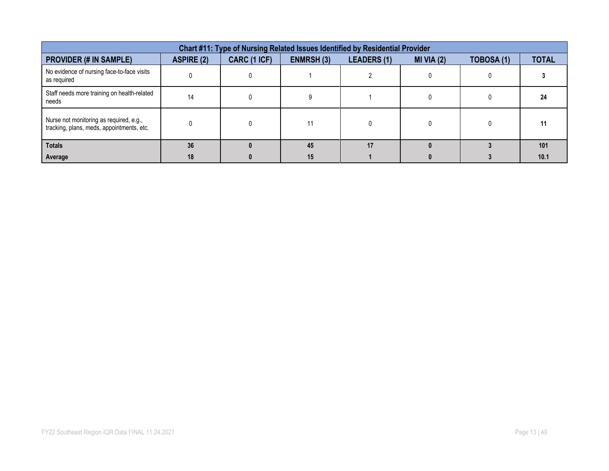| Chart #11: Type of Nursing Related Issues Identified by Residential Provider         |                   |              |                   |                    |              |                   |              |  |  |  |
|--------------------------------------------------------------------------------------|-------------------|--------------|-------------------|--------------------|--------------|-------------------|--------------|--|--|--|
| <b>PROVIDER (# IN SAMPLE)</b>                                                        | <b>ASPIRE (2)</b> | CARC (1 ICF) | <b>ENMRSH (3)</b> | <b>LEADERS (1)</b> | $MI$ VIA (2) | <b>TOBOSA (1)</b> | <b>TOTAL</b> |  |  |  |
| No evidence of nursing face-to-face visits<br>as required                            |                   |              |                   |                    |              |                   |              |  |  |  |
| Staff needs more training on health-related<br>needs                                 | 14                |              |                   |                    |              |                   | 24           |  |  |  |
| Nurse not monitoring as required, e.g.,<br>tracking, plans, meds, appointments, etc. |                   |              |                   |                    |              |                   | 11           |  |  |  |
| <b>Totals</b>                                                                        | 36                |              | 45                | 17                 |              |                   | 101          |  |  |  |
| Average                                                                              | 18                |              | 15                |                    |              |                   | 10.1         |  |  |  |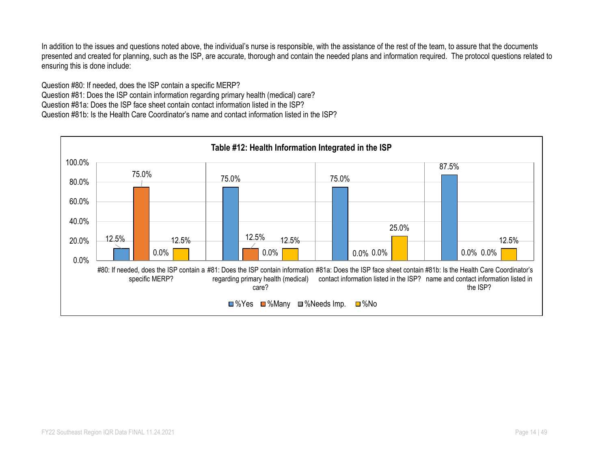In addition to the issues and questions noted above, the individual's nurse is responsible, with the assistance of the rest of the team, to assure that the documents presented and created for planning, such as the ISP, are accurate, thorough and contain the needed plans and information required. The protocol questions related to ensuring this is done include:

Question #80: If needed, does the ISP contain a specific MERP? Question #81: Does the ISP contain information regarding primary health (medical) care? Question #81a: Does the ISP face sheet contain contact information listed in the ISP? Question #81b: Is the Health Care Coordinator's name and contact information listed in the ISP?

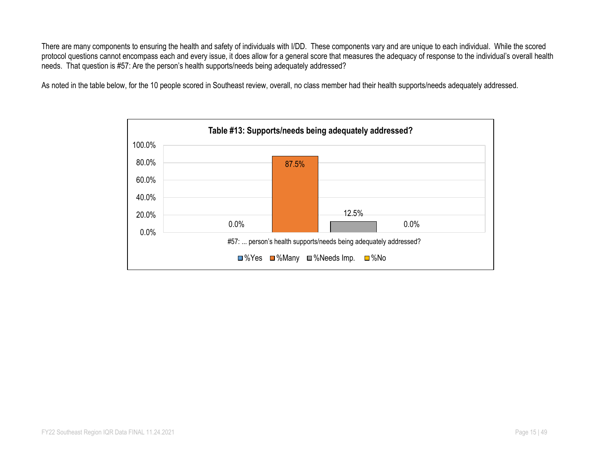There are many components to ensuring the health and safety of individuals with I/DD. These components vary and are unique to each individual. While the scored protocol questions cannot encompass each and every issue, it does allow for a general score that measures the adequacy of response to the individual's overall health needs. That question is #57: Are the person's health supports/needs being adequately addressed?

As noted in the table below, for the 10 people scored in Southeast review, overall, no class member had their health supports/needs adequately addressed.

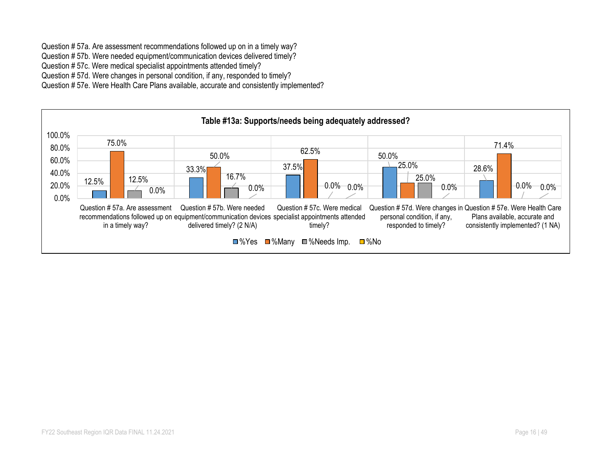Question # 57a. Are assessment recommendations followed up on in a timely way?

Question # 57b. Were needed equipment/communication devices delivered timely?

Question # 57c. Were medical specialist appointments attended timely?

Question # 57d. Were changes in personal condition, if any, responded to timely?

Question # 57e. Were Health Care Plans available, accurate and consistently implemented?

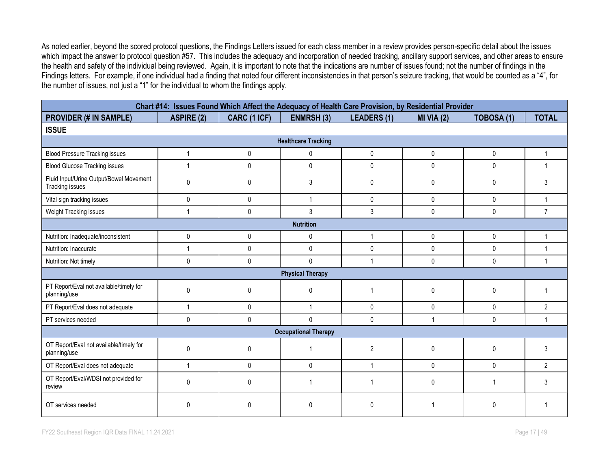As noted earlier, beyond the scored protocol questions, the Findings Letters issued for each class member in a review provides person-specific detail about the issues which impact the answer to protocol question #57. This includes the adequacy and incorporation of needed tracking, ancillary support services, and other areas to ensure the health and safety of the individual being reviewed. Again, it is important to note that the indications are number of issues found; not the number of findings in the Findings letters. For example, if one individual had a finding that noted four different inconsistencies in that person's seizure tracking, that would be counted as a "4", for the number of issues, not just a "1" for the individual to whom the findings apply.

|                                                            |                   |              |                             | Chart #14: Issues Found Which Affect the Adequacy of Health Care Provision, by Residential Provider |                |              |                |  |  |
|------------------------------------------------------------|-------------------|--------------|-----------------------------|-----------------------------------------------------------------------------------------------------|----------------|--------------|----------------|--|--|
| <b>PROVIDER (# IN SAMPLE)</b>                              | <b>ASPIRE (2)</b> | CARC (1 ICF) | <b>ENMRSH (3)</b>           | <b>LEADERS (1)</b>                                                                                  | MI VIA $(2)$   | TOBOSA (1)   | <b>TOTAL</b>   |  |  |
| <b>ISSUE</b>                                               |                   |              |                             |                                                                                                     |                |              |                |  |  |
|                                                            |                   |              | <b>Healthcare Tracking</b>  |                                                                                                     |                |              |                |  |  |
| <b>Blood Pressure Tracking issues</b>                      | $\mathbf{1}$      | $\mathbf{0}$ | 0                           | 0                                                                                                   | $\mathbf{0}$   | $\mathbf 0$  | $\mathbf{1}$   |  |  |
| <b>Blood Glucose Tracking issues</b>                       | $\mathbf{1}$      | $\mathbf{0}$ | $\pmb{0}$                   | 0                                                                                                   | $\mathbf{0}$   | 0            | $\mathbf{1}$   |  |  |
| Fluid Input/Urine Output/Bowel Movement<br>Tracking issues | 0                 | $\pmb{0}$    | 3                           | 0                                                                                                   | $\mathbf{0}$   | 0            | 3              |  |  |
| Vital sign tracking issues                                 | 0                 | $\mathbf{0}$ | $\mathbf{1}$                | $\mathbf{0}$                                                                                        | 0              | 0            | $\mathbf{1}$   |  |  |
| Weight Tracking issues                                     | 1                 | $\mathbf{0}$ | 3                           | 3                                                                                                   | $\mathbf{0}$   | $\mathbf{0}$ | $\overline{7}$ |  |  |
| <b>Nutrition</b>                                           |                   |              |                             |                                                                                                     |                |              |                |  |  |
| Nutrition: Inadequate/inconsistent                         | 0                 | $\mathbf{0}$ | 0                           | $\overline{1}$                                                                                      | $\mathbf{0}$   | 0            | $\mathbf{1}$   |  |  |
| Nutrition: Inaccurate                                      | 1                 | $\pmb{0}$    | $\pmb{0}$                   | 0                                                                                                   | $\pmb{0}$      | 0            | $\overline{1}$ |  |  |
| Nutrition: Not timely                                      | $\mathbf{0}$      | $\mathbf{0}$ | $\pmb{0}$                   | 1                                                                                                   | $\mathbf{0}$   | 0            | $\mathbf{1}$   |  |  |
|                                                            |                   |              | <b>Physical Therapy</b>     |                                                                                                     |                |              |                |  |  |
| PT Report/Eval not available/timely for<br>planning/use    | $\mathbf{0}$      | $\mathbf{0}$ | 0                           | $\overline{\phantom{a}}$                                                                            | $\mathbf{0}$   | 0            | -1             |  |  |
| PT Report/Eval does not adequate                           | 1                 | $\mathbf 0$  | $\mathbf{1}$                | 0                                                                                                   | 0              | 0            | $\overline{2}$ |  |  |
| PT services needed                                         | 0                 | $\mathbf{0}$ | $\mathbf{0}$                | 0                                                                                                   | $\overline{1}$ | 0            | $\mathbf{1}$   |  |  |
|                                                            |                   |              | <b>Occupational Therapy</b> |                                                                                                     |                |              |                |  |  |
| OT Report/Eval not available/timely for<br>planning/use    | 0                 | $\mathbf{0}$ |                             | $\overline{2}$                                                                                      | $\mathbf{0}$   | $\mathbf{0}$ | 3              |  |  |
| OT Report/Eval does not adequate                           | 1                 | $\mathbf{0}$ | 0                           | $\overline{1}$                                                                                      | $\mathbf{0}$   | $\mathbf{0}$ | $\overline{2}$ |  |  |
| OT Report/Eval/WDSI not provided for<br>review             | 0                 | $\mathbf{0}$ | $\mathbf 1$                 |                                                                                                     | $\mathbf{0}$   | 1            | 3              |  |  |
| OT services needed                                         | 0                 | $\Omega$     | <sup>0</sup>                | 0                                                                                                   |                | 0            |                |  |  |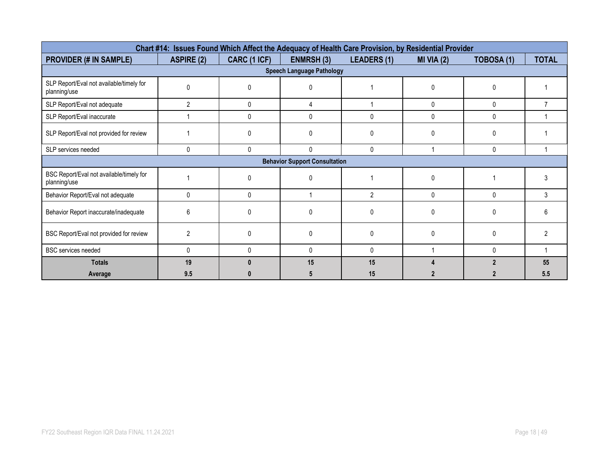|                                                          |                   |              |                                  | Chart #14: Issues Found Which Affect the Adequacy of Health Care Provision, by Residential Provider |              |                   |                |  |  |
|----------------------------------------------------------|-------------------|--------------|----------------------------------|-----------------------------------------------------------------------------------------------------|--------------|-------------------|----------------|--|--|
| <b>PROVIDER (# IN SAMPLE)</b>                            | <b>ASPIRE (2)</b> | CARC (1 ICF) | <b>ENMRSH (3)</b>                | <b>LEADERS (1)</b>                                                                                  | MI VIA $(2)$ | <b>TOBOSA (1)</b> | <b>TOTAL</b>   |  |  |
|                                                          |                   |              | <b>Speech Language Pathology</b> |                                                                                                     |              |                   |                |  |  |
| SLP Report/Eval not available/timely for<br>planning/use | $\Omega$          | n            |                                  |                                                                                                     | $\Omega$     |                   |                |  |  |
| SLP Report/Eval not adequate                             | $\overline{2}$    | 0            | 4                                |                                                                                                     | 0            | 0                 |                |  |  |
| SLP Report/Eval inaccurate                               |                   | $\Omega$     | 0                                | 0                                                                                                   | 0            | 0                 |                |  |  |
| SLP Report/Eval not provided for review                  |                   | <sup>0</sup> | 0                                | $\Omega$                                                                                            | 0            |                   |                |  |  |
| SLP services needed                                      | 0                 | $\mathbf{0}$ | 0                                | $\mathbf 0$                                                                                         |              | 0                 |                |  |  |
| <b>Behavior Support Consultation</b>                     |                   |              |                                  |                                                                                                     |              |                   |                |  |  |
| BSC Report/Eval not available/timely for<br>planning/use |                   | ŋ            |                                  |                                                                                                     | $\Omega$     |                   | 3              |  |  |
| Behavior Report/Eval not adequate                        | $\mathbf{0}$      | $\Omega$     |                                  | $\overline{2}$                                                                                      | $\Omega$     | $\mathbf{0}$      | 3              |  |  |
| Behavior Report inaccurate/inadequate                    | 6                 | ŋ            |                                  | $\Omega$                                                                                            | $\Omega$     |                   | ĥ              |  |  |
| BSC Report/Eval not provided for review                  | $\overline{2}$    | $\Omega$     | $\Omega$                         | $\Omega$                                                                                            | $\Omega$     | 0                 | $\mathfrak{p}$ |  |  |
| <b>BSC</b> services needed                               | 0                 | $\Omega$     | 0                                | $\Omega$                                                                                            |              | U                 |                |  |  |
| <b>Totals</b>                                            | 19                |              | 15                               | 15                                                                                                  |              |                   | 55             |  |  |
| Average                                                  | 9.5               |              |                                  | 15                                                                                                  |              |                   | 5.5            |  |  |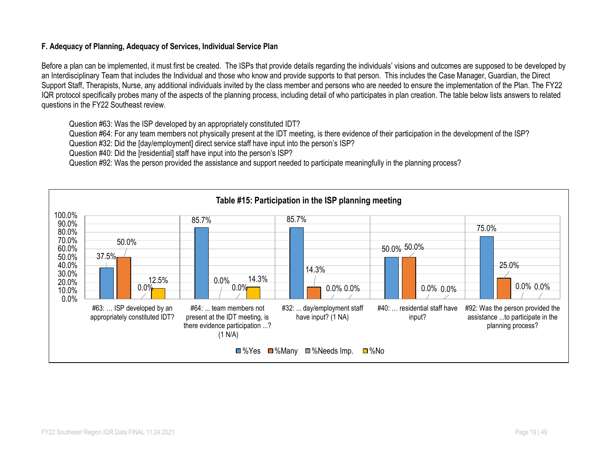### **F. Adequacy of Planning, Adequacy of Services, Individual Service Plan**

Before a plan can be implemented, it must first be created. The ISPs that provide details regarding the individuals' visions and outcomes are supposed to be developed by an Interdisciplinary Team that includes the Individual and those who know and provide supports to that person. This includes the Case Manager, Guardian, the Direct Support Staff, Therapists, Nurse, any additional individuals invited by the class member and persons who are needed to ensure the implementation of the Plan. The FY22 IQR protocol specifically probes many of the aspects of the planning process, including detail of who participates in plan creation. The table below lists answers to related questions in the FY22 Southeast review.

Question #63: Was the ISP developed by an appropriately constituted IDT?

Question #64: For any team members not physically present at the IDT meeting, is there evidence of their participation in the development of the ISP?

Question #32: Did the [day/employment] direct service staff have input into the person's ISP?

Question #40: Did the [residential] staff have input into the person's ISP?

Question #92: Was the person provided the assistance and support needed to participate meaningfully in the planning process?

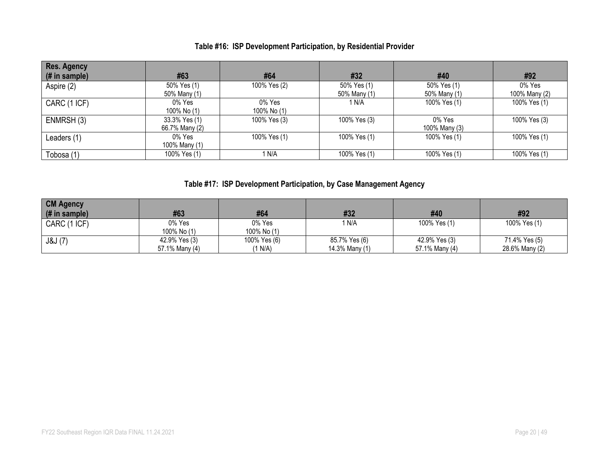# **Table #16: ISP Development Participation, by Residential Provider**

| <b>Res. Agency</b> |                |              |              |               |               |
|--------------------|----------------|--------------|--------------|---------------|---------------|
| $#$ in sample)     | #63            | #64          | #32          | #40           | #92           |
| Aspire (2)         | 50% Yes (1)    | 100% Yes (2) | 50% Yes (1)  | 50% Yes (1)   | 0% Yes        |
|                    | 50% Many (1)   |              | 50% Many (1) | 50% Many (1)  | 100% Many (2) |
| CARC (1 ICF)       | 0% Yes         | 0% Yes       | 1 N/A        | 100% Yes (1)  | 100% Yes (1)  |
|                    | 100% No (1)    | 100% No (1)  |              |               |               |
| ENMRSH(3)          | 33.3% Yes (1)  | 100% Yes (3) | 100% Yes (3) | 0% Yes        | 100% Yes (3)  |
|                    | 66.7% Many (2) |              |              | 100% Many (3) |               |
| Leaders (1)        | 0% Yes         | 100% Yes (1) | 100% Yes (1) | 100% Yes (1)  | 100% Yes (1)  |
|                    | 100% Many (1)  |              |              |               |               |
| Tobosa (1)         | 100% Yes (1)   | 1 N/A        | 100% Yes (1) | 100% Yes (1)  | 100% Yes (1)  |

# **Table #17: ISP Development Participation, by Case Management Agency**

| <b>CM Agency</b><br>(# in sample) | #63                             | #64                     | #32                             | #40                             | #92                             |
|-----------------------------------|---------------------------------|-------------------------|---------------------------------|---------------------------------|---------------------------------|
| CARC (1 ICF)                      | 0% Yes<br>100% No (1)           | 0% Yes<br>100% No (1)   | 1 N/A                           | 100% Yes (1)                    | 100% Yes (1)                    |
| J&J (7)                           | 42.9% Yes (3)<br>57.1% Many (4) | 100% Yes (6)<br>(1 N/A) | 85.7% Yes (6)<br>14.3% Many (1) | 42.9% Yes (3)<br>57.1% Many (4) | 71.4% Yes (5)<br>28.6% Many (2) |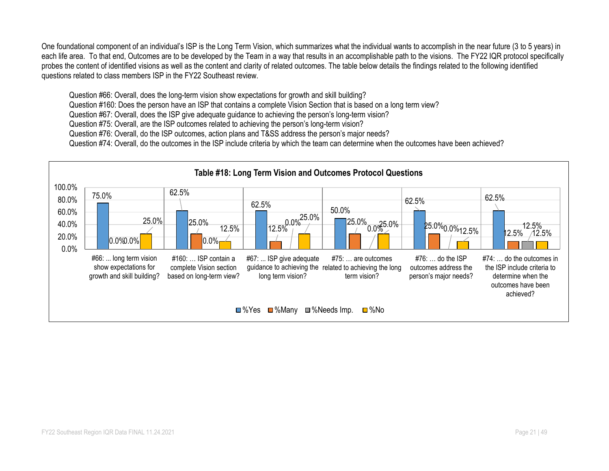One foundational component of an individual's ISP is the Long Term Vision, which summarizes what the individual wants to accomplish in the near future (3 to 5 years) in each life area. To that end, Outcomes are to be developed by the Team in a way that results in an accomplishable path to the visions. The FY22 IQR protocol specifically probes the content of identified visions as well as the content and clarity of related outcomes. The table below details the findings related to the following identified questions related to class members ISP in the FY22 Southeast review.

Question #66: Overall, does the long-term vision show expectations for growth and skill building?

Question #160: Does the person have an ISP that contains a complete Vision Section that is based on a long term view?

Question #67: Overall, does the ISP give adequate guidance to achieving the person's long-term vision?

Question #75: Overall, are the ISP outcomes related to achieving the person's long-term vision?

Question #76: Overall, do the ISP outcomes, action plans and T&SS address the person's major needs?

Question #74: Overall, do the outcomes in the ISP include criteria by which the team can determine when the outcomes have been achieved?

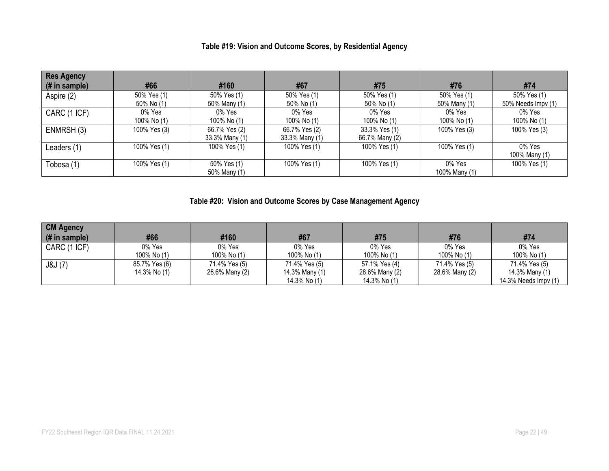## **Table #19: Vision and Outcome Scores, by Residential Agency**

| <b>Res Agency</b> |              |                |                |                |               |                    |
|-------------------|--------------|----------------|----------------|----------------|---------------|--------------------|
| (# in sample)     | #66          | #160           | #67            | #75            | #76           | #74                |
| Aspire (2)        | 50% Yes (1)  | 50% Yes (1)    | 50% Yes (1)    | 50% Yes (1)    | 50% Yes (1)   | 50% Yes (1)        |
|                   | 50% No (1)   | 50% Many (1)   | 50% No (1)     | 50% No (1)     | 50% Many (1)  | 50% Needs Impv (1) |
| CARC (1 ICF)      | 0% Yes       | 0% Yes         | 0% Yes         | 0% Yes         | 0% Yes        | 0% Yes             |
|                   | 100% No (1)  | 100% No (1)    | 100% No (1)    | 100% No (1)    | 100% No (1)   | 100% No (1)        |
| ENMRSH(3)         | 100% Yes (3) | 66.7% Yes (2)  | 66.7% Yes (2)  | 33.3% Yes (1)  | 100% Yes (3)  | 100% Yes (3)       |
|                   |              | 33.3% Many (1) | 33.3% Many (1) | 66.7% Many (2) |               |                    |
| Leaders (1)       | 100% Yes (1) | 100% Yes (1)   | 100% Yes (1)   | 100% Yes (1)   | 100% Yes (1)  | 0% Yes             |
|                   |              |                |                |                |               | 100% Many (1)      |
| Tobosa (1)        | 100% Yes (1) | 50% Yes (1)    | 100% Yes (1)   | 100% Yes (1)   | 0% Yes        | 100% Yes (1)       |
|                   |              | 50% Many (1)   |                |                | 100% Many (1) |                    |

# **Table #20: Vision and Outcome Scores by Case Management Agency**

| <b>CM Agency</b><br>(# in sample) | #66                           | #160                            | #67                                             | #75                                             | #76                             | #74                                                     |
|-----------------------------------|-------------------------------|---------------------------------|-------------------------------------------------|-------------------------------------------------|---------------------------------|---------------------------------------------------------|
| CARC (1 ICF)                      | 0% Yes<br>100% No (1)         | 0% Yes<br>100% No (1)           | 0% Yes<br>100% No (1)                           | 0% Yes<br>100% No (1)                           | 0% Yes<br>100% No (1)           | 0% Yes<br>100% No (1)                                   |
| J&J (7)                           | 85.7% Yes (6)<br>14.3% No (1) | 71.4% Yes (5)<br>28.6% Many (2) | 71.4% Yes (5)<br>14.3% Many (1)<br>14.3% No (1) | 57.1% Yes (4)<br>28.6% Many (2)<br>14.3% No (1) | 71.4% Yes (5)<br>28.6% Many (2) | 71.4% Yes (5)<br>14.3% Many (1)<br>14.3% Needs Impv (1) |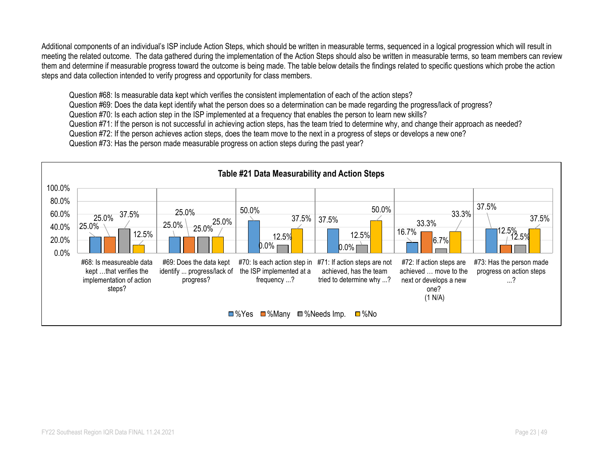Additional components of an individual's ISP include Action Steps, which should be written in measurable terms, sequenced in a logical progression which will result in meeting the related outcome. The data gathered during the implementation of the Action Steps should also be written in measurable terms, so team members can review them and determine if measurable progress toward the outcome is being made. The table below details the findings related to specific questions which probe the action steps and data collection intended to verify progress and opportunity for class members.

Question #68: Is measurable data kept which verifies the consistent implementation of each of the action steps?

Question #69: Does the data kept identify what the person does so a determination can be made regarding the progress/lack of progress?

Question #70: Is each action step in the ISP implemented at a frequency that enables the person to learn new skills?

Question #71: If the person is not successful in achieving action steps, has the team tried to determine why, and change their approach as needed?

Question #72: If the person achieves action steps, does the team move to the next in a progress of steps or develops a new one?

Question #73: Has the person made measurable progress on action steps during the past year?

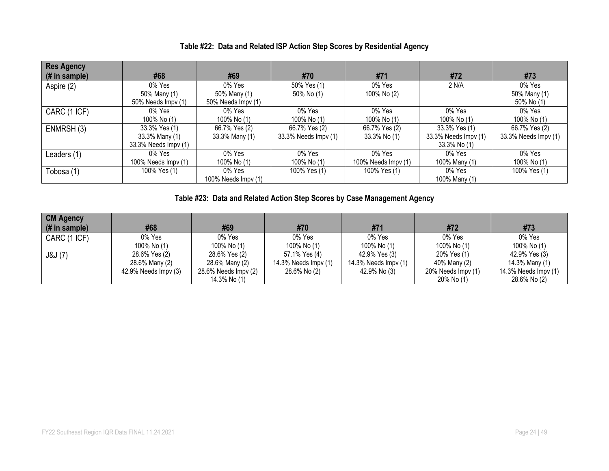| <b>Res Agency</b><br>$#$ in sample) | #68                  | #69                 | #70                  | #71                         | #72                  | #73                  |
|-------------------------------------|----------------------|---------------------|----------------------|-----------------------------|----------------------|----------------------|
| Aspire (2)                          | $0\%$ Yes            | 0% Yes              | 50% Yes (1)          | $0\%$ Yes                   | 2 N/A                | 0% Yes               |
|                                     | 50% Many (1)         | 50% Many (1)        | 50% No (1)           | 100% No (2)                 |                      | 50% Many (1)         |
|                                     | 50% Needs Impv (1)   | 50% Needs Impv (1)  |                      |                             |                      | 50% No (1)           |
| CARC (1 ICF)                        | $0\%$ Yes            | 0% Yes              | 0% Yes               | $0\%$ Yes                   | 0% Yes               | 0% Yes               |
|                                     | 100% No (1)          | 100% No (1)         | 100% No (1)          | 100% No (1)                 | 100% No (1)          | 100% No (1)          |
| ENMRSH (3)                          | 33.3% Yes (1)        | 66.7% Yes (2)       | 66.7% Yes (2)        | 66.7% Yes (2)               | 33.3% Yes (1)        | 66.7% Yes (2)        |
|                                     | 33.3% Many (1)       | 33.3% Many (1)      | 33.3% Needs Impv (1) | 33.3% No (1)                | 33.3% Needs Impv (1) | 33.3% Needs Impv (1) |
|                                     | 33.3% Needs Impv (1) |                     |                      |                             | 33.3% No (1)         |                      |
| Leaders (1)                         | 0% Yes               | 0% Yes              | 0% Yes               | 0% Yes                      | 0% Yes               | 0% Yes               |
|                                     | 100% Needs Impv (1)  | 100% No (1)         | 100% No (1)          | 100% Needs $\text{Impv}(1)$ | 100% Many (1)        | 100% No (1)          |
| Tobosa (1)                          | 100% Yes (1)         | 0% Yes              | 100% Yes (1)         | 100% Yes (1)                | 0% Yes               | 100% Yes (1)         |
|                                     |                      | 100% Needs Impv (1) |                      |                             | 100% Many (1)        |                      |

## **Table #22: Data and Related ISP Action Step Scores by Residential Agency**

## **Table #23: Data and Related Action Step Scores by Case Management Agency**

| <b>CM Agency</b><br>(# in sample) | #68                  | #69                  | #70                  | #71                  | #72                | #73                  |
|-----------------------------------|----------------------|----------------------|----------------------|----------------------|--------------------|----------------------|
| CARC (1 ICF)                      | 0% Yes               | $0\%$ Yes            | $0\%$ Yes            | 0% Yes               | $0\%$ Yes          | 0% Yes               |
|                                   | 100% No (1)          | 100% No (1)          | 100% No (1)          | 100% No (1)          | 100% No (1)        | 100% No (1)          |
| J&J(7)                            | 28.6% Yes (2)        | 28.6% Yes (2)        | 57.1% Yes (4)        | 42.9% Yes (3)        | 20% Yes (1)        | 42.9% Yes (3)        |
|                                   | 28.6% Many (2)       | 28.6% Many (2)       | 14.3% Needs Impv (1) | 14.3% Needs Impv (1) | 40% Many (2)       | 14.3% Many (1)       |
|                                   | 42.9% Needs Impv (3) | 28.6% Needs Impv (2) | 28.6% No (2)         | 42.9% No (3)         | 20% Needs Impv (1) | 14.3% Needs Impv (1) |
|                                   |                      | 14.3% No (1)         |                      |                      | 20% No (1)         | 28.6% No (2)         |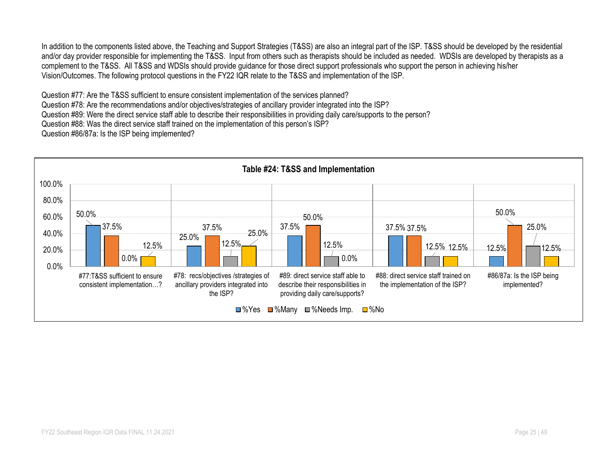In addition to the components listed above, the Teaching and Support Strategies (T&SS) are also an integral part of the ISP. T&SS should be developed by the residential and/or day provider responsible for implementing the T&SS. Input from others such as therapists should be included as needed. WDSIs are developed by therapists as a complement to the T&SS. All T&SS and WDSIs should provide guidance for those direct support professionals who support the person in achieving his/her Vision/Outcomes. The following protocol questions in the FY22 IQR relate to the T&SS and implementation of the ISP.

Question #77: Are the T&SS sufficient to ensure consistent implementation of the services planned?

Question #78: Are the recommendations and/or objectives/strategies of ancillary provider integrated into the ISP?

Question #89: Were the direct service staff able to describe their responsibilities in providing daily care/supports to the person?

Question #88: Was the direct service staff trained on the implementation of this person's ISP?

Question #86/87a: Is the ISP being implemented?

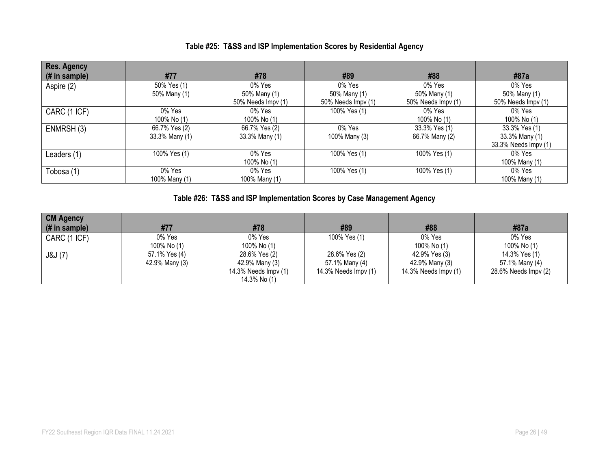|  | Table #25: T&SS and ISP Implementation Scores by Residential Agency |  |
|--|---------------------------------------------------------------------|--|
|  |                                                                     |  |

| <b>Res. Agency</b><br>$#$ in sample) | #77                             | #78                                          | #89                                             | #88                                          | #87a                                                    |
|--------------------------------------|---------------------------------|----------------------------------------------|-------------------------------------------------|----------------------------------------------|---------------------------------------------------------|
| Aspire (2)                           | 50% Yes (1)<br>50% Many (1)     | 0% Yes<br>50% Many (1)<br>50% Needs Impv (1) | $0\%$ Yes<br>50% Many (1)<br>50% Needs Impy (1) | 0% Yes<br>50% Many (1)<br>50% Needs Impv (1) | 0% Yes<br>50% Many (1)<br>50% Needs Impv (1)            |
| CARC (1 ICF)                         | $0\%$ Yes<br>100% No (1)        | 0% Yes<br>100% No (1)                        | 100% Yes (1)                                    | 0% Yes<br>100% No (1)                        | 0% Yes<br>100% No (1)                                   |
| ENMRSH (3)                           | 66.7% Yes (2)<br>33.3% Many (1) | 66.7% Yes (2)<br>33.3% Many (1)              | 0% Yes<br>100% Many (3)                         | 33.3% Yes (1)<br>66.7% Many (2)              | 33.3% Yes (1)<br>33.3% Many (1)<br>33.3% Needs Impv (1) |
| Leaders (1)                          | 100% Yes (1)                    | 0% Yes<br>100% No (1)                        | 100% Yes (1)                                    | 100% Yes (1)                                 | 0% Yes<br>100% Many (1)                                 |
| Tobosa (1)                           | $0\%$ Yes<br>100% Many (1)      | 0% Yes<br>100% Many (1)                      | 100% Yes (1)                                    | 100% Yes (1)                                 | 0% Yes<br>100% Many (1)                                 |

# **Table #26: T&SS and ISP Implementation Scores by Case Management Agency**

| <b>CM Agency</b><br>(# in sample) | #77            | #78                  | #89                  | #88                  | #87a                 |
|-----------------------------------|----------------|----------------------|----------------------|----------------------|----------------------|
| CARC (1 ICF)                      | 0% Yes         | 0% Yes               | 100% Yes (1)         | 0% Yes               | 0% Yes               |
|                                   | 100% No (1)    | 100% No (1)          |                      | 100% No (1)          | 100% No (1)          |
| J&J (7)                           | 57.1% Yes (4)  | 28.6% Yes (2)        | 28.6% Yes (2)        | 42.9% Yes (3)        | 14.3% Yes (1)        |
|                                   | 42.9% Many (3) | 42.9% Many (3)       | 57.1% Many (4)       | 42.9% Many (3)       | 57.1% Many (4)       |
|                                   |                | 14.3% Needs Impv (1) | 14.3% Needs Impv (1) | 14.3% Needs Impv (1) | 28.6% Needs Impv (2) |
|                                   |                | 14.3% No (1)         |                      |                      |                      |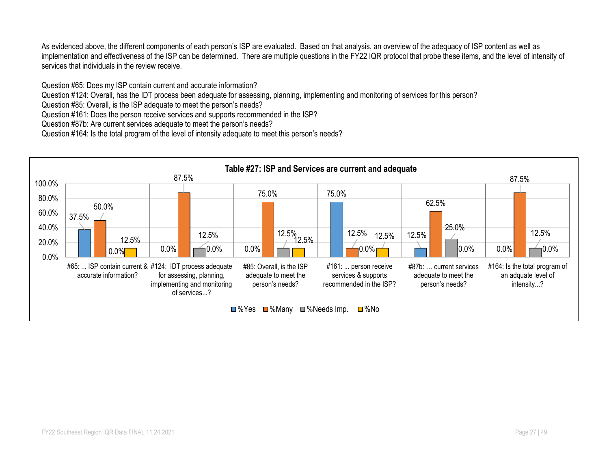As evidenced above, the different components of each person's ISP are evaluated. Based on that analysis, an overview of the adequacy of ISP content as well as implementation and effectiveness of the ISP can be determined. There are multiple questions in the FY22 IQR protocol that probe these items, and the level of intensity of services that individuals in the review receive.

Question #65: Does my ISP contain current and accurate information?

Question #124: Overall, has the IDT process been adequate for assessing, planning, implementing and monitoring of services for this person?

Question #85: Overall, is the ISP adequate to meet the person's needs?

Question #161: Does the person receive services and supports recommended in the ISP?

Question #87b: Are current services adequate to meet the person's needs?

Question #164: Is the total program of the level of intensity adequate to meet this person's needs?

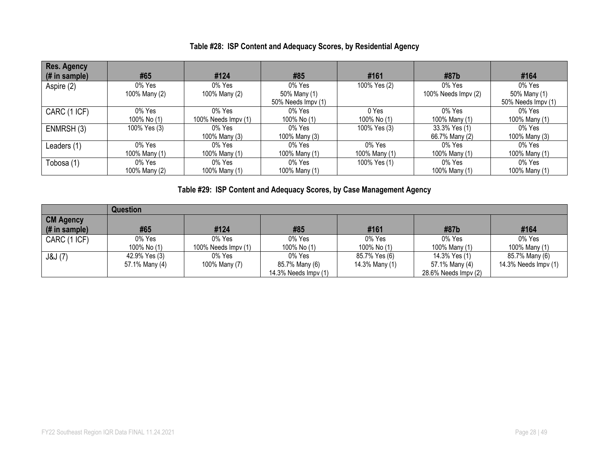## **Table #28: ISP Content and Adequacy Scores, by Residential Agency**

| Res. Agency<br>(# in sample) | #65                     | #124                          | #85                                             | #161                    | #87b                             | #164                                         |
|------------------------------|-------------------------|-------------------------------|-------------------------------------------------|-------------------------|----------------------------------|----------------------------------------------|
| Aspire (2)                   | 0% Yes<br>100% Many (2) | 0% Yes<br>100% Many (2)       | $0\%$ Yes<br>50% Many (1)<br>50% Needs Impv (1) | 100% Yes (2)            | $0\%$ Yes<br>100% Needs Impv (2) | 0% Yes<br>50% Many (1)<br>50% Needs Impv (1) |
| CARC (1 ICF)                 | 0% Yes<br>100% No (1)   | 0% Yes<br>100% Needs Impv (1) | 0% Yes<br>100% No (1)                           | 0 Yes<br>100% No (1)    | 0% Yes<br>100% Many (1)          | 0% Yes<br>100% Many (1)                      |
| ENMRSH (3)                   | 100% Yes (3)            | 0% Yes<br>100% Many (3)       | 0% Yes<br>100% Many (3)                         | 100% Yes (3)            | 33.3% Yes (1)<br>66.7% Many (2)  | 0% Yes<br>100% Many (3)                      |
| Leaders (1)                  | 0% Yes<br>100% Many (1) | 0% Yes<br>100% Many (1)       | 0% Yes<br>100% Many (1)                         | 0% Yes<br>100% Many (1) | 0% Yes<br>100% Many (1)          | 0% Yes<br>100% Many (1)                      |
| Tobosa (1)                   | 0% Yes<br>100% Many (2) | 0% Yes<br>100% Many (1)       | 0% Yes<br>100% Many (1)                         | 100% Yes (1)            | 0% Yes<br>100% Many (1)          | 0% Yes<br>100% Many (1)                      |

# **Table #29: ISP Content and Adequacy Scores, by Case Management Agency**

|                  | <b>Question</b> |                     |                      |                |                      |                      |
|------------------|-----------------|---------------------|----------------------|----------------|----------------------|----------------------|
| <b>CM Agency</b> |                 |                     |                      |                |                      |                      |
| $($ # in sample) | #65             | #124                | #85                  | #161           | #87b                 | #164                 |
| CARC (1 ICF)     | 0% Yes          | 0% Yes              | 0% Yes               | 0% Yes         | 0% Yes               | 0% Yes               |
|                  | 100% No (1)     | 100% Needs Impv (1) | 100% No (1)          | 100% No (1)    | 100% Many (1)        | 100% Many (1)        |
| J&J(7)           | 42.9% Yes (3)   | 0% Yes              | 0% Yes               | 85.7% Yes (6)  | 14.3% Yes (1)        | 85.7% Many (6)       |
|                  | 57.1% Many (4)  | 100% Many (7)       | 85.7% Many (6)       | 14.3% Many (1) | 57.1% Many (4)       | 14.3% Needs Impv (1) |
|                  |                 |                     | 14.3% Needs Impv (1) |                | 28.6% Needs Impv (2) |                      |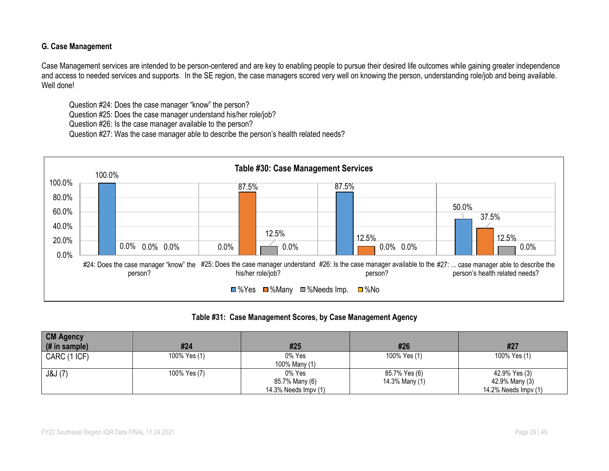#### **G. Case Management**

Case Management services are intended to be person-centered and are key to enabling people to pursue their desired life outcomes while gaining greater independence and access to needed services and supports. In the SE region, the case managers scored very well on knowing the person, understanding role/job and being available. Well done!

Question #24: Does the case manager "know" the person?

Question #25: Does the case manager understand his/her role/job?

Question #26: Is the case manager available to the person?

Question #27: Was the case manager able to describe the person's health related needs?



**Table #31: Case Management Scores, by Case Management Agency**

| <b>CM Agency</b><br>(# in sample) | #24          | #25                  | #26            | #27                  |
|-----------------------------------|--------------|----------------------|----------------|----------------------|
|                                   |              |                      |                |                      |
| CARC (1 ICF)                      | 100% Yes (1) | 0% Yes               | 100% Yes (1)   | 100% Yes (1)         |
|                                   |              | 100% Many (1)        |                |                      |
| J&J(7)                            | 100% Yes (7) | 0% Yes               | 85.7% Yes (6)  | 42.9% Yes (3)        |
|                                   |              | 85.7% Many (6)       | 14.3% Many (1) | 42.9% Many (3)       |
|                                   |              | 14.3% Needs Impv (1) |                | 14.2% Needs Impv (1) |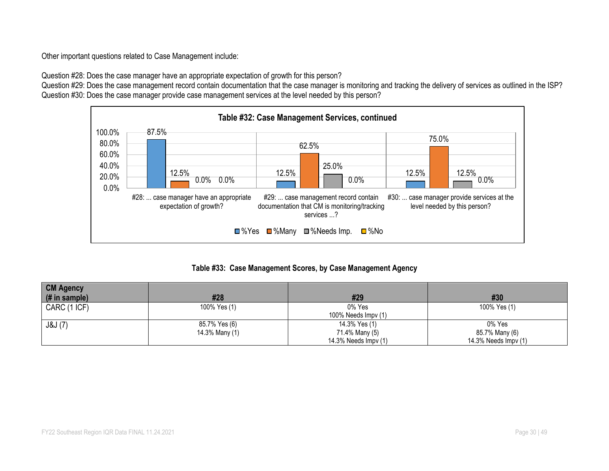Other important questions related to Case Management include:

Question #28: Does the case manager have an appropriate expectation of growth for this person?

Question #29: Does the case management record contain documentation that the case manager is monitoring and tracking the delivery of services as outlined in the ISP? Question #30: Does the case manager provide case management services at the level needed by this person?



### **Table #33: Case Management Scores, by Case Management Agency**

| <b>CM Agency</b> |                |                             |                      |
|------------------|----------------|-----------------------------|----------------------|
| $#$ in sample)   | #28            | #29                         | #30                  |
| CARC (1 ICF)     | 100% Yes (1)   | 0% Yes                      | 100% Yes (1)         |
|                  |                | 100% Needs $\text{Impv}(1)$ |                      |
| J&J(7)           | 85.7% Yes (6)  | 14.3% Yes (1)               | 0% Yes               |
|                  | 14.3% Many (1) | 71.4% Many (5)              | 85.7% Many (6)       |
|                  |                | 14.3% Needs Impv (1)        | 14.3% Needs Impv (1) |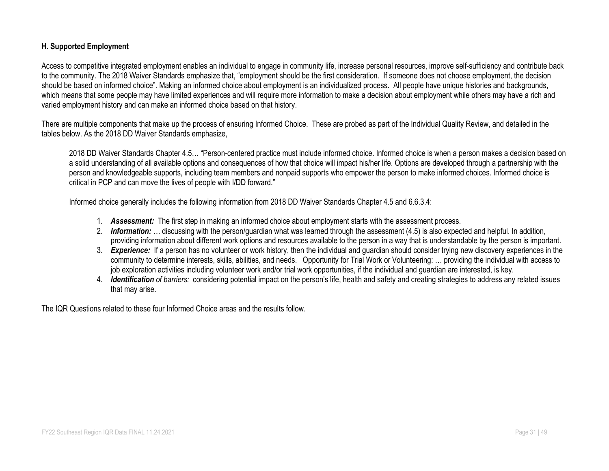#### **H. Supported Employment**

Access to competitive integrated employment enables an individual to engage in community life, increase personal resources, improve self-sufficiency and contribute back to the community. The 2018 Waiver Standards emphasize that, "employment should be the first consideration. If someone does not choose employment, the decision should be based on informed choice". Making an informed choice about employment is an individualized process. All people have unique histories and backgrounds, which means that some people may have limited experiences and will require more information to make a decision about employment while others may have a rich and varied employment history and can make an informed choice based on that history.

There are multiple components that make up the process of ensuring Informed Choice. These are probed as part of the Individual Quality Review, and detailed in the tables below. As the 2018 DD Waiver Standards emphasize,

2018 DD Waiver Standards Chapter 4.5… "Person-centered practice must include informed choice. Informed choice is when a person makes a decision based on a solid understanding of all available options and consequences of how that choice will impact his/her life. Options are developed through a partnership with the person and knowledgeable supports, including team members and nonpaid supports who empower the person to make informed choices. Informed choice is critical in PCP and can move the lives of people with I/DD forward."

Informed choice generally includes the following information from 2018 DD Waiver Standards Chapter 4.5 and 6.6.3.4:

- 1. *Assessment:* The first step in making an informed choice about employment starts with the assessment process.
- 2. *Information: …* discussing with the person/guardian what was learned through the assessment (4.5) is also expected and helpful. In addition, providing information about different work options and resources available to the person in a way that is understandable by the person is important.
- 3. *Experience:* If a person has no volunteer or work history, then the individual and guardian should consider trying new discovery experiences in the community to determine interests, skills, abilities, and needs. Opportunity for Trial Work or Volunteering: … providing the individual with access to job exploration activities including volunteer work and/or trial work opportunities, if the individual and guardian are interested, is key.
- 4. *Identification of barriers:* considering potential impact on the person's life, health and safety and creating strategies to address any related issues that may arise.

The IQR Questions related to these four Informed Choice areas and the results follow.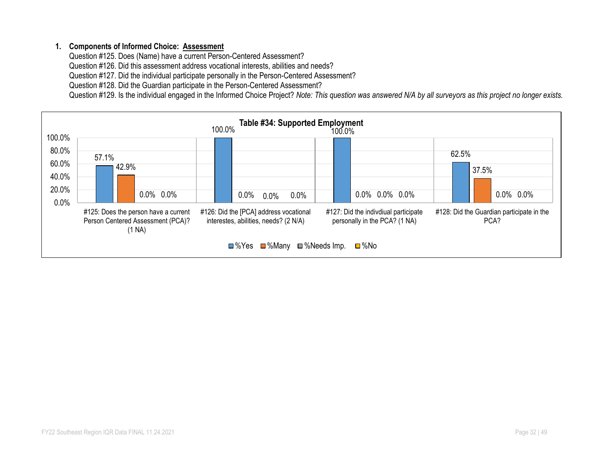### **1. Components of Informed Choice: Assessment**

Question #125. Does (Name) have a current Person-Centered Assessment?

Question #126. Did this assessment address vocational interests, abilities and needs?

Question #127. Did the individual participate personally in the Person-Centered Assessment?

Question #128. Did the Guardian participate in the Person-Centered Assessment?

Question #129. Is the individual engaged in the Informed Choice Project? *Note: This question was answered N/A by all surveyors as this project no longer exists.*

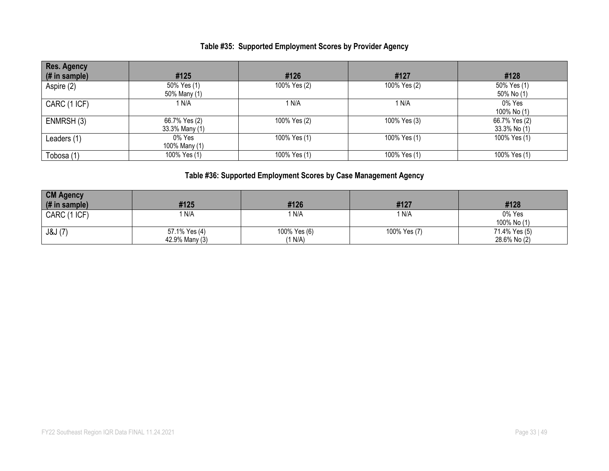# **Table #35: Supported Employment Scores by Provider Agency**

| <b>Res. Agency</b> |                |              |              |               |
|--------------------|----------------|--------------|--------------|---------------|
| (# in sample)      | #125           | #126         | #127         | #128          |
| Aspire (2)         | 50% Yes (1)    | 100% Yes (2) | 100% Yes (2) | 50% Yes (1)   |
|                    | 50% Many (1)   |              |              | 50% No (1)    |
| CARC (1 ICF)       | 1 N/A          | 1 N/A        | 1 N/A        | 0% Yes        |
|                    |                |              |              | 100% No (1)   |
| ENMRSH (3)         | 66.7% Yes (2)  | 100% Yes (2) | 100% Yes (3) | 66.7% Yes (2) |
|                    | 33.3% Many (1) |              |              | 33.3% No (1)  |
| Leaders (1)        | 0% Yes         | 100% Yes (1) | 100% Yes (1) | 100% Yes (1)  |
|                    | 100% Many (1)  |              |              |               |
| Tobosa (1)         | 100% Yes (1)   | 100% Yes (1) | 100% Yes (1) | 100% Yes (1)  |

# **Table #36: Supported Employment Scores by Case Management Agency**

| <b>CM Agency</b> |                                 |                         |              |                               |
|------------------|---------------------------------|-------------------------|--------------|-------------------------------|
| $#$ in sample)   | #125                            | #126                    | #127         | #128                          |
| CARC (1 ICF)     | 1 N/A                           | 1 N/A                   | 1 N/A        | 0% Yes<br>100% No (1)         |
| J&J(7)           | 57.1% Yes (4)<br>42.9% Many (3) | 100% Yes (6)<br>(1 N/A) | 100% Yes (7) | 71.4% Yes (5)<br>28.6% No (2) |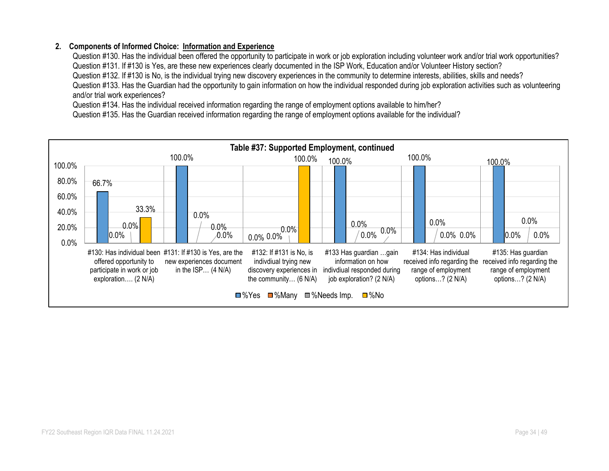### **2. Components of Informed Choice: Information and Experience**

Question #130. Has the individual been offered the opportunity to participate in work or job exploration including volunteer work and/or trial work opportunities? Question #131. If #130 is Yes, are these new experiences clearly documented in the ISP Work, Education and/or Volunteer History section? Question #132. If #130 is No, is the individual trying new discovery experiences in the community to determine interests, abilities, skills and needs? Question #133. Has the Guardian had the opportunity to gain information on how the individual responded during job exploration activities such as volunteering and/or trial work experiences?

Question #134. Has the individual received information regarding the range of employment options available to him/her?

Question #135. Has the Guardian received information regarding the range of employment options available for the individual?

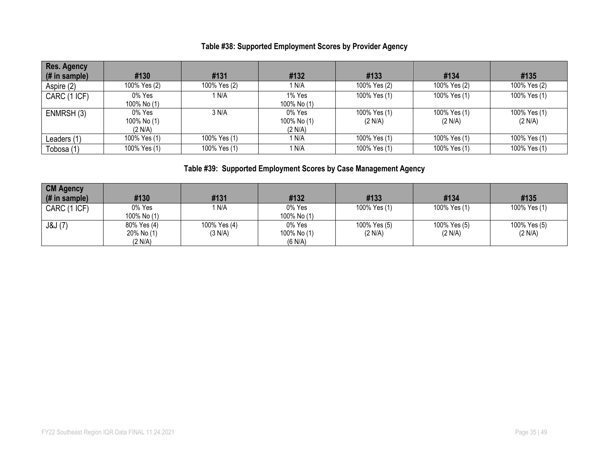# **Table #38: Supported Employment Scores by Provider Agency**

| Res. Agency   |              |                  |             |              |              |              |
|---------------|--------------|------------------|-------------|--------------|--------------|--------------|
| (# in sample) | #130         | #131             | #132        | #133         | #134         | #135         |
| Aspire (2)    | 100% Yes (2) | 100% Yes (2)     | 1 N/A       | 100% Yes (2) | 100% Yes (2) | 100% Yes (2) |
| CARC (1 ICF)  | 0% Yes       | <sup>1</sup> N/A | 1% Yes      | 100% Yes (1) | 100% Yes (1) | 100% Yes (1) |
|               | 100% No (1)  |                  | 100% No (1) |              |              |              |
| ENMRSH (3)    | $0\%$ Yes    | 3 N/A            | 0% Yes      | 100% Yes (1) | 100% Yes (1) | 100% Yes (1) |
|               | 100% No (1)  |                  | 100% No (1) | (2 N/A)      | (2 N/A)      | (2 N/A)      |
|               | (2 N/A)      |                  | (2 N/A)     |              |              |              |
| Leaders (1)   | 100% Yes (1) | 100% Yes (1)     | 1 N/A       | 100% Yes (1) | 100% Yes (1) | 100% Yes (1) |
| Tobosa (1)    | 100% Yes (1) | 100% Yes (1)     | 1 N/A       | 100% Yes (1) | 100% Yes (1) | 100% Yes (1) |

# **Table #39: Supported Employment Scores by Case Management Agency**

| <b>CM Agency</b><br>(# in sample) | #130                                 | #131                    | #132                             | #133                    | #134                    | #135                    |
|-----------------------------------|--------------------------------------|-------------------------|----------------------------------|-------------------------|-------------------------|-------------------------|
| CARC (1 ICF)                      | 0% Yes<br>100% No (1)                | N/A                     | $0\%$ Yes<br>100% No (1)         | 100% Yes (1)            | 100% Yes (1)            | 100% Yes (1)            |
| J&J(7)                            | 80% Yes (4)<br>20% No (1)<br>(2 N/A) | 100% Yes (4)<br>(3 N/A) | 0% Yes<br>100% No (1)<br>(6 N/A) | 100% Yes (5)<br>(2 N/A) | 100% Yes (5)<br>(2 N/A) | 100% Yes (5)<br>(2 N/A) |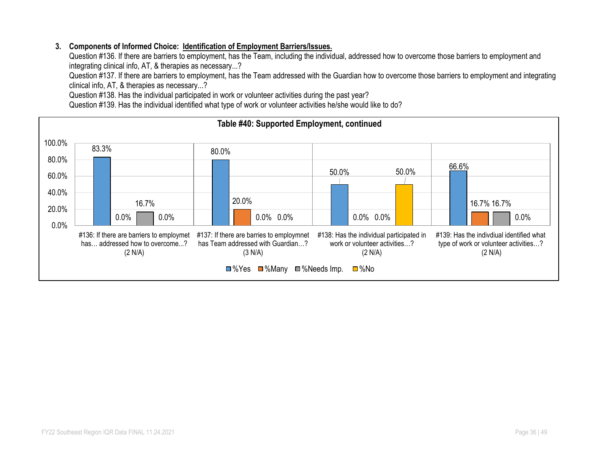### **3. Components of Informed Choice: Identification of Employment Barriers/Issues.**

Question #136. If there are barriers to employment, has the Team, including the individual, addressed how to overcome those barriers to employment and integrating clinical info, AT, & therapies as necessary...?

Question #137. If there are barriers to employment, has the Team addressed with the Guardian how to overcome those barriers to employment and integrating clinical info, AT, & therapies as necessary...?

Question #138. Has the individual participated in work or volunteer activities during the past year?

Question #139. Has the individual identified what type of work or volunteer activities he/she would like to do?

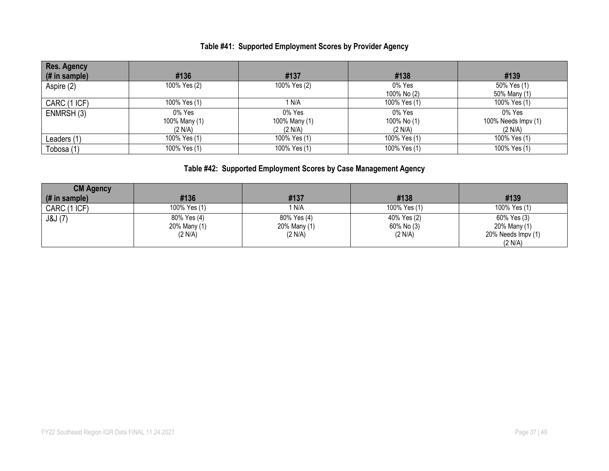# **Table #41: Supported Employment Scores by Provider Agency**

| <b>Res. Agency</b> |               |               |              |                     |
|--------------------|---------------|---------------|--------------|---------------------|
| $#$ in sample)     | #136          | #137          | #138         | #139                |
| Aspire (2)         | 100% Yes (2)  | 100% Yes (2)  | 0% Yes       | 50% Yes (1)         |
|                    |               |               | 100% No (2)  | 50% Many (1)        |
| CARC (1 ICF)       | 100% Yes (1)  | 1 N/A         | 100% Yes (1) | 100% Yes (1)        |
| ENMRSH (3)         | 0% Yes        | $0\%$ Yes     | 0% Yes       | 0% Yes              |
|                    | 100% Many (1) | 100% Many (1) | 100% No (1)  | 100% Needs Impv (1) |
|                    | (2 N/A)       | (2 N/A)       | (2 N/A)      | (2 N/A)             |
| Leaders (1)        | 100% Yes (1)  | 100% Yes (1)  | 100% Yes (1) | 100% Yes (1)        |
| Tobosa (1)         | 100% Yes (1)  | 100% Yes (1)  | 100% Yes (1) | 100% Yes (1)        |

# **Table #42: Supported Employment Scores by Case Management Agency**

| <b>CM Agency</b> |              |              |              |                    |
|------------------|--------------|--------------|--------------|--------------------|
| (# in sample)    | #136         | #137         | #138         | #139               |
| CARC (1 ICF)     | 100% Yes (1) | i n/a        | 100% Yes (1) | 100% Yes (1)       |
| J&J(7)           | 80% Yes (4)  | 80% Yes (4)  | 40% Yes (2)  | 60% Yes (3)        |
|                  | 20% Many (1) | 20% Many (1) | 60% No (3)   | 20% Many (1)       |
|                  | (2 N/A)      | (2 N/A)      | (2 N/A)      | 20% Needs Impv (1) |
|                  |              |              |              | (2 N/A)            |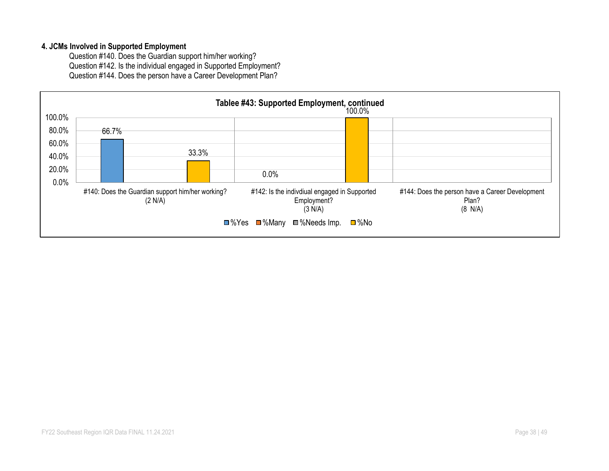#### **4. JCMs Involved in Supported Employment**

Question #140. Does the Guardian support him/her working? Question #142. Is the individual engaged in Supported Employment? Question #144. Does the person have a Career Development Plan?

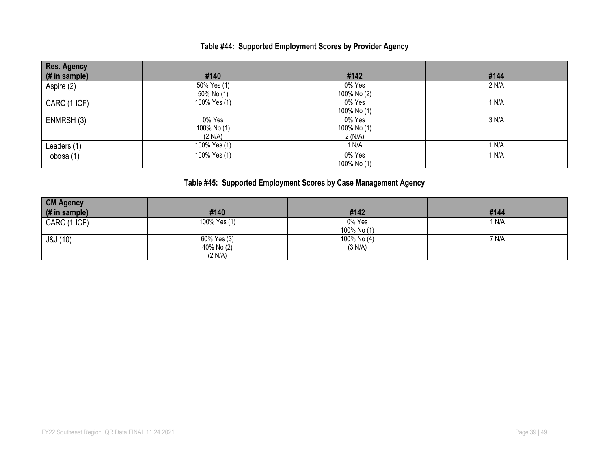# **Table #44: Supported Employment Scores by Provider Agency**

| <b>Res. Agency</b> |              |             |       |
|--------------------|--------------|-------------|-------|
| (# in sample)      | #140         | #142        | #144  |
| Aspire (2)         | 50% Yes (1)  | 0% Yes      | 2 N/A |
|                    | 50% No (1)   | 100% No (2) |       |
| CARC (1 ICF)       | 100% Yes (1) | 0% Yes      | 1 N/A |
|                    |              | 100% No (1) |       |
| ENMRSH (3)         | 0% Yes       | 0% Yes      | 3 N/A |
|                    | 100% No (1)  | 100% No (1) |       |
|                    | (2 N/A)      | 2(N/A)      |       |
| Leaders (1)        | 100% Yes (1) | 1 N/A       | 1 N/A |
| Tobosa (1)         | 100% Yes (1) | 0% Yes      | 1 N/A |
|                    |              | 100% No (1) |       |

# **Table #45: Supported Employment Scores by Case Management Agency**

| <b>CM Agency</b> |                                      |                        |       |
|------------------|--------------------------------------|------------------------|-------|
| (# in sample)    | #140                                 | #142                   | #144  |
| CARC (1 ICF)     | 100% Yes (1)                         | 0% Yes<br>100% No (1)  | 1 N/A |
| J&J(10)          | 60% Yes (3)<br>40% No (2)<br>(2 N/A) | 100% No (4)<br>(3 N/A) | 7 N/A |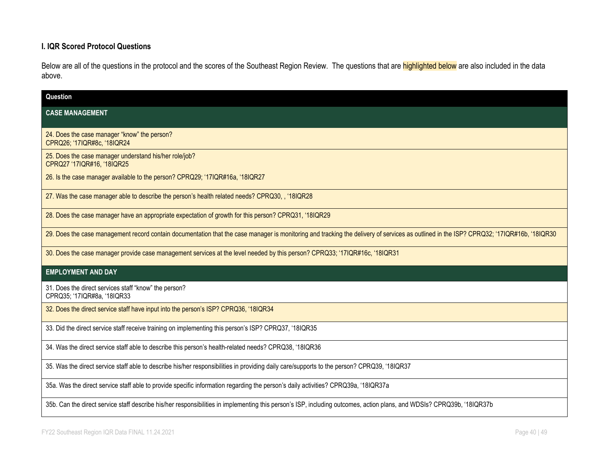### **I. IQR Scored Protocol Questions**

Below are all of the questions in the protocol and the scores of the Southeast Region Review. The questions that are **highlighted below** are also included in the data above.

| Question                                                                                                                                                                                 |
|------------------------------------------------------------------------------------------------------------------------------------------------------------------------------------------|
| <b>CASE MANAGEMENT</b>                                                                                                                                                                   |
| 24. Does the case manager "know" the person?<br>CPRQ26; '17IQR#8c, '18IQR24                                                                                                              |
| 25. Does the case manager understand his/her role/job?<br>CPRQ27 '17IQR#16, '18IQR25                                                                                                     |
| 26. Is the case manager available to the person? CPRQ29; '17IQR#16a, '18IQR27                                                                                                            |
| 27. Was the case manager able to describe the person's health related needs? CPRQ30, , '18IQR28                                                                                          |
| 28. Does the case manager have an appropriate expectation of growth for this person? CPRQ31, '18IQR29                                                                                    |
| 29. Does the case management record contain documentation that the case manager is monitoring and tracking the delivery of services as outlined in the ISP? CPRQ32; '17IQR#16b, '18IQR30 |
| 30. Does the case manager provide case management services at the level needed by this person? CPRQ33; '17IQR#16c, '18IQR31                                                              |
| <b>EMPLOYMENT AND DAY</b>                                                                                                                                                                |
| 31. Does the direct services staff "know" the person?<br>CPRQ35; '17IQR#8a, '18IQR33                                                                                                     |
| 32. Does the direct service staff have input into the person's ISP? CPRQ36, '18IQR34                                                                                                     |
| 33. Did the direct service staff receive training on implementing this person's ISP? CPRQ37, '18IQR35                                                                                    |
| 34. Was the direct service staff able to describe this person's health-related needs? CPRQ38, '18IQR36                                                                                   |
| 35. Was the direct service staff able to describe his/her responsibilities in providing daily care/supports to the person? CPRQ39, '18IQR37                                              |
| 35a. Was the direct service staff able to provide specific information regarding the person's daily activities? CPRQ39a, '18IQR37a                                                       |
| 35b. Can the direct service staff describe his/her responsibilities in implementing this person's ISP, including outcomes, action plans, and WDSIs? CPRQ39b, '18IQR37b                   |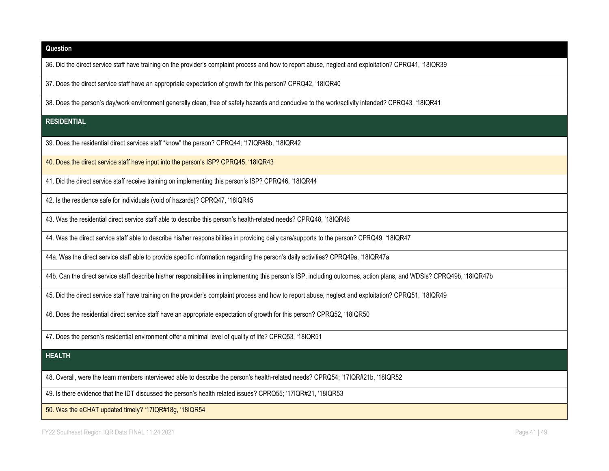36. Did the direct service staff have training on the provider's complaint process and how to report abuse, neglect and exploitation? CPRQ41, '18IQR39

37. Does the direct service staff have an appropriate expectation of growth for this person? CPRQ42, '18IQR40

38. Does the person's day/work environment generally clean, free of safety hazards and conducive to the work/activity intended? CPRQ43, '18IQR41

#### **RESIDENTIAL**

39. Does the residential direct services staff "know" the person? CPRQ44; '17IQR#8b, '18IQR42

40. Does the direct service staff have input into the person's ISP? CPRQ45, '18IQR43

41. Did the direct service staff receive training on implementing this person's ISP? CPRQ46, '18IQR44

42. Is the residence safe for individuals (void of hazards)? CPRQ47, '18IQR45

43. Was the residential direct service staff able to describe this person's health-related needs? CPRQ48, '18IQR46

44. Was the direct service staff able to describe his/her responsibilities in providing daily care/supports to the person? CPRQ49, '18IQR47

44a. Was the direct service staff able to provide specific information regarding the person's daily activities? CPRQ49a, '18IQR47a

44b. Can the direct service staff describe his/her responsibilities in implementing this person's ISP, including outcomes, action plans, and WDSIs? CPRQ49b, '18IQR47b

45. Did the direct service staff have training on the provider's complaint process and how to report abuse, neglect and exploitation? CPRQ51, '18IQR49

46. Does the residential direct service staff have an appropriate expectation of growth for this person? CPRQ52, '18IQR50

47. Does the person's residential environment offer a minimal level of quality of life? CPRQ53, '18IQR51

#### **HEALTH**

48. Overall, were the team members interviewed able to describe the person's health-related needs? CPRQ54; '17IQR#21b, '18IQR52

49. Is there evidence that the IDT discussed the person's health related issues? CPRQ55; '17IQR#21, '18IQR53

50. Was the eCHAT updated timely? '17IQR#18g, '18IQR54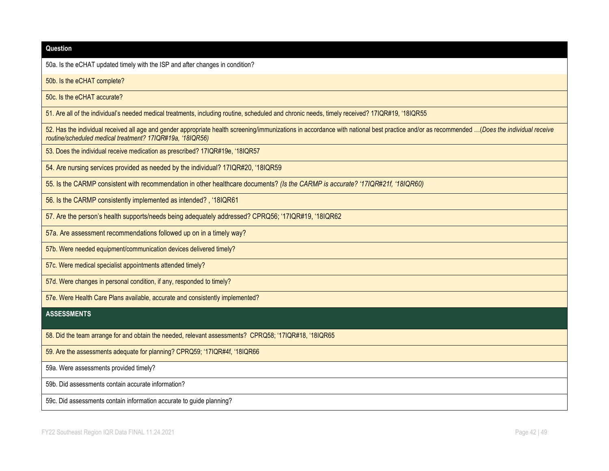| Question                                                                                                                                                                                                                                                |
|---------------------------------------------------------------------------------------------------------------------------------------------------------------------------------------------------------------------------------------------------------|
| 50a. Is the eCHAT updated timely with the ISP and after changes in condition?                                                                                                                                                                           |
| 50b. Is the eCHAT complete?                                                                                                                                                                                                                             |
| 50c. Is the eCHAT accurate?                                                                                                                                                                                                                             |
| 51. Are all of the individual's needed medical treatments, including routine, scheduled and chronic needs, timely received? 17IQR#19, '18IQR55                                                                                                          |
| 52. Has the individual received all age and gender appropriate health screening/immunizations in accordance with national best practice and/or as recommended (Does the individual receive<br>routine/scheduled medical treatment? 17IQR#19a, '18IQR56) |
| 53. Does the individual receive medication as prescribed? 17IQR#19e, '18IQR57                                                                                                                                                                           |
| 54. Are nursing services provided as needed by the individual? 17IQR#20, '18IQR59                                                                                                                                                                       |
| 55. Is the CARMP consistent with recommendation in other healthcare documents? (Is the CARMP is accurate? '17IQR#21f, '18IQR60)                                                                                                                         |
| 56. Is the CARMP consistently implemented as intended?, '18IQR61                                                                                                                                                                                        |
| 57. Are the person's health supports/needs being adequately addressed? CPRQ56; '17IQR#19, '18IQR62                                                                                                                                                      |
| 57a. Are assessment recommendations followed up on in a timely way?                                                                                                                                                                                     |
| 57b. Were needed equipment/communication devices delivered timely?                                                                                                                                                                                      |
| 57c. Were medical specialist appointments attended timely?                                                                                                                                                                                              |
| 57d. Were changes in personal condition, if any, responded to timely?                                                                                                                                                                                   |
| 57e. Were Health Care Plans available, accurate and consistently implemented?                                                                                                                                                                           |
| <b>ASSESSMENTS</b>                                                                                                                                                                                                                                      |
| 58. Did the team arrange for and obtain the needed, relevant assessments? CPRQ58; '17IQR#18, '18IQR65                                                                                                                                                   |
| 59. Are the assessments adequate for planning? CPRQ59; '17IQR#4f, '18IQR66                                                                                                                                                                              |
| 59a. Were assessments provided timely?                                                                                                                                                                                                                  |
| 59b. Did assessments contain accurate information?                                                                                                                                                                                                      |
| 59c. Did assessments contain information accurate to guide planning?                                                                                                                                                                                    |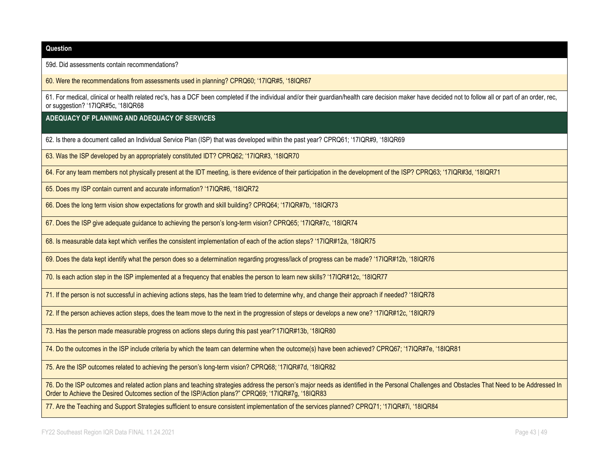59d. Did assessments contain recommendations?

60. Were the recommendations from assessments used in planning? CPRQ60; '17IQR#5, '18IQR67

61. For medical, clinical or health related rec's, has a DCF been completed if the individual and/or their guardian/health care decision maker have decided not to follow all or part of an order, rec, or suggestion? '17IQR#5c, '18IQR68

**ADEQUACY OF PLANNING AND ADEQUACY OF SERVICES**

62. Is there a document called an Individual Service Plan (ISP) that was developed within the past year? CPRQ61; '17IQR#9, '18IQR69

63. Was the ISP developed by an appropriately constituted IDT? CPRQ62; '17IQR#3, '18IQR70

64. For any team members not physically present at the IDT meeting, is there evidence of their participation in the development of the ISP? CPRQ63; '17IQR#3d, '18IQR71

65. Does my ISP contain current and accurate information? '17IQR#6, '18IQR72

66. Does the long term vision show expectations for growth and skill building? CPRQ64; '17IQR#7b, '18IQR73

67. Does the ISP give adequate guidance to achieving the person's long-term vision? CPRQ65; '17IQR#7c, '18IQR74

68. Is measurable data kept which verifies the consistent implementation of each of the action steps? '17IQR#12a, '18IQR75

69. Does the data kept identify what the person does so a determination regarding progress/lack of progress can be made? '17IQR#12b, '18IQR76

70. Is each action step in the ISP implemented at a frequency that enables the person to learn new skills? '17IQR#12c, '18IQR77

71. If the person is not successful in achieving actions steps, has the team tried to determine why, and change their approach if needed? '18IQR78

72. If the person achieves action steps, does the team move to the next in the progression of steps or develops a new one? '17IQR#12c, '18IQR79

73. Has the person made measurable progress on actions steps during this past year?'17IQR#13b, '18IQR80

74. Do the outcomes in the ISP include criteria by which the team can determine when the outcome(s) have been achieved? CPRQ67; '17IQR#7e, '18IQR81

75. Are the ISP outcomes related to achieving the person's long-term vision? CPRQ68; '17IQR#7d, '18IQR82

76. Do the ISP outcomes and related action plans and teaching strategies address the person's major needs as identified in the Personal Challenges and Obstacles That Need to be Addressed In Order to Achieve the Desired Outcomes section of the ISP/Action plans?" CPRQ69; '17IQR#7g, '18IQR83

77. Are the Teaching and Support Strategies sufficient to ensure consistent implementation of the services planned? CPRQ71; '17IQR#7i, '18IQR84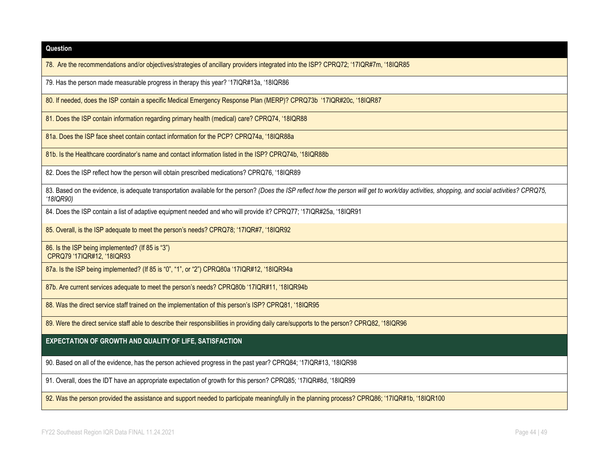| Question                                                                                                                                                                                                    |
|-------------------------------------------------------------------------------------------------------------------------------------------------------------------------------------------------------------|
| 78. Are the recommendations and/or objectives/strategies of ancillary providers integrated into the ISP? CPRQ72; '17IQR#7m, '18IQR85                                                                        |
| 79. Has the person made measurable progress in therapy this year? '17IQR#13a, '18IQR86                                                                                                                      |
| 80. If needed, does the ISP contain a specific Medical Emergency Response Plan (MERP)? CPRQ73b '17IQR#20c, '18IQR87                                                                                         |
| 81. Does the ISP contain information regarding primary health (medical) care? CPRQ74, '18IQR88                                                                                                              |
| 81a. Does the ISP face sheet contain contact information for the PCP? CPRQ74a, '18IQR88a                                                                                                                    |
| 81b. Is the Healthcare coordinator's name and contact information listed in the ISP? CPRQ74b, '18IQR88b                                                                                                     |
| 82. Does the ISP reflect how the person will obtain prescribed medications? CPRQ76, '18IQR89                                                                                                                |
| 83. Based on the evidence, is adequate transportation available for the person? (Does the ISP reflect how the person will get to work/day activities, shopping, and social activities? CPRQ75,<br>'18IQR90) |
| 84. Does the ISP contain a list of adaptive equipment needed and who will provide it? CPRQ77; '17IQR#25a, '18IQR91                                                                                          |
| 85. Overall, is the ISP adequate to meet the person's needs? CPRQ78; '17IQR#7, '18IQR92                                                                                                                     |
| 86. Is the ISP being implemented? (If 85 is "3")<br>CPRQ79 '17IQR#12, '18IQR93                                                                                                                              |
| 87a. Is the ISP being implemented? (If 85 is "0", "1", or "2") CPRQ80a '17IQR#12, '18IQR94a                                                                                                                 |
| 87b. Are current services adequate to meet the person's needs? CPRQ80b '17IQR#11, '18IQR94b                                                                                                                 |
| 88. Was the direct service staff trained on the implementation of this person's ISP? CPRQ81, '18IQR95                                                                                                       |
| 89. Were the direct service staff able to describe their responsibilities in providing daily care/supports to the person? CPRQ82, '18IQR96                                                                  |
| EXPECTATION OF GROWTH AND QUALITY OF LIFE, SATISFACTION                                                                                                                                                     |
| 90. Based on all of the evidence, has the person achieved progress in the past year? CPRQ84; '17IQR#13, '18IQR98                                                                                            |
| 91. Overall, does the IDT have an appropriate expectation of growth for this person? CPRQ85; '17IQR#8d, '18IQR99                                                                                            |
| 92. Was the person provided the assistance and support needed to participate meaningfully in the planning process? CPRQ86; '17IQR#1b, '18IQR100                                                             |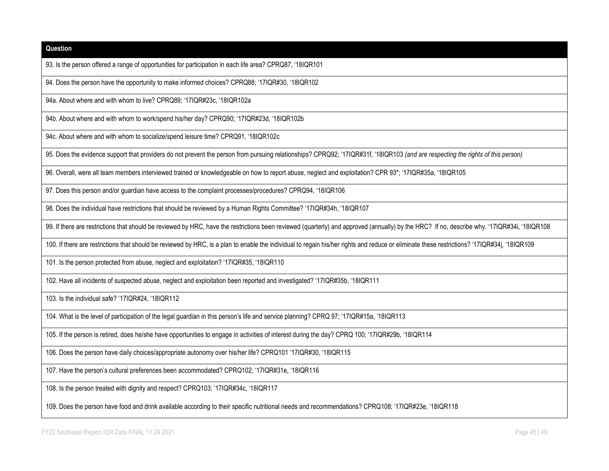| Question                                                                                                                                                                                     |
|----------------------------------------------------------------------------------------------------------------------------------------------------------------------------------------------|
| 93. Is the person offered a range of opportunities for participation in each life area? CPRQ87, '18IQR101                                                                                    |
| 94. Does the person have the opportunity to make informed choices? CPRQ88; '17IQR#30, '18IQR102                                                                                              |
| 94a. About where and with whom to live? CPRQ89; '17IQR#23c, '18IQR102a                                                                                                                       |
| 94b. About where and with whom to work/spend his/her day? CPRQ90; '17IQR#23d, '18IQR102b                                                                                                     |
| 94c. About where and with whom to socialize/spend leisure time? CPRQ91, '18IQR102c                                                                                                           |
| 95. Does the evidence support that providers do not prevent the person from pursuing relationships? CPRQ92; '17IQR#31f, '18IQR103 (and are respecting the rights of this person)             |
| 96. Overall, were all team members interviewed trained or knowledgeable on how to report abuse, neglect and exploitation? CPR 93*; '17IQR#35a, '18IQR105                                     |
| 97. Does this person and/or guardian have access to the complaint processes/procedures? CPRQ94, '18IQR106                                                                                    |
| 98. Does the individual have restrictions that should be reviewed by a Human Rights Committee? '17IQR#34h, '18IQR107                                                                         |
| 99. If there are restrictions that should be reviewed by HRC, have the restrictions been reviewed (quarterly) and approved (annually) by the HRC? If no, describe why. '17IQR#34i, '18IQR108 |
| 100. If there are restrictions that should be reviewed by HRC, is a plan to enable the individual to regain his/her rights and reduce or eliminate these restrictions? '17IQR#34j, '18IQR109 |
| 101. Is the person protected from abuse, neglect and exploitation? '17IQR#35, '18IQR110                                                                                                      |
| 102. Have all incidents of suspected abuse, neglect and exploitation been reported and investigated? '17IQR#35b, '18IQR111                                                                   |
| 103. Is the individual safe? '17IQR#24, '18IQR112                                                                                                                                            |
| 104. What is the level of participation of the legal guardian in this person's life and service planning? CPRQ 97; '17IQR#15a, '18IQR113                                                     |
| 105. If the person is retired, does he/she have opportunities to engage in activities of interest during the day? CPRQ 100; '17IQR#29b, '18IQR114                                            |
| 106. Does the person have daily choices/appropriate autonomy over his/her life? CPRQ101 '17IQR#30, '18IQR115                                                                                 |
| 107. Have the person's cultural preferences been accommodated? CPRQ102; '17IQR#31e, '18IQR116                                                                                                |
| 108. Is the person treated with dignity and respect? CPRQ103; '17IQR#34c, '18IQR117                                                                                                          |
| 109. Does the person have food and drink available according to their specific nutritional needs and recommendations? CPRQ108; '17IQR#23e, '18IQR118                                         |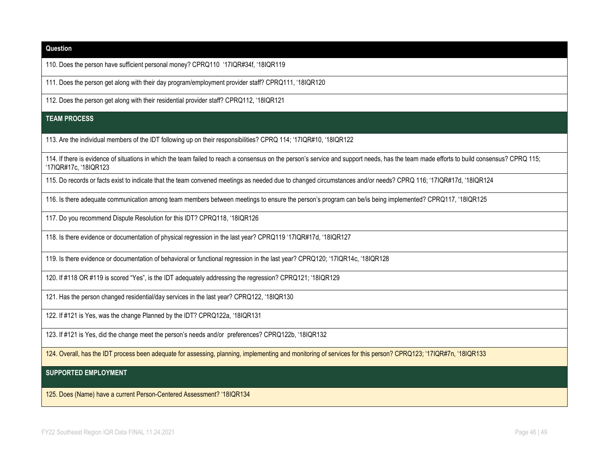| Question                                                                                                                                                                                                          |
|-------------------------------------------------------------------------------------------------------------------------------------------------------------------------------------------------------------------|
| 110. Does the person have sufficient personal money? CPRQ110 '17IQR#34f, '18IQR119                                                                                                                                |
| 111. Does the person get along with their day program/employment provider staff? CPRQ111, '18IQR120                                                                                                               |
| 112. Does the person get along with their residential provider staff? CPRQ112, '18IQR121                                                                                                                          |
| <b>TEAM PROCESS</b>                                                                                                                                                                                               |
| 113. Are the individual members of the IDT following up on their responsibilities? CPRQ 114; '17IQR#10, '18IQR122                                                                                                 |
| 114. If there is evidence of situations in which the team failed to reach a consensus on the person's service and support needs, has the team made efforts to build consensus? CPRQ 115;<br>'17IQR#17c, '18IQR123 |
| 115. Do records or facts exist to indicate that the team convened meetings as needed due to changed circumstances and/or needs? CPRQ 116; '17IQR#17d, '18IQR124                                                   |
| 116. Is there adequate communication among team members between meetings to ensure the person's program can be/is being implemented? CPRQ117, '18IQR125                                                           |
| 117. Do you recommend Dispute Resolution for this IDT? CPRQ118, '18IQR126                                                                                                                                         |
| 118. Is there evidence or documentation of physical regression in the last year? CPRQ119 '17IQR#17d, '18IQR127                                                                                                    |
| 119. Is there evidence or documentation of behavioral or functional regression in the last year? CPRQ120; '17IQR14c, '18IQR128                                                                                    |
| 120. If #118 OR #119 is scored "Yes", is the IDT adequately addressing the regression? CPRQ121; '18IQR129                                                                                                         |
| 121. Has the person changed residential/day services in the last year? CPRQ122, '18IQR130                                                                                                                         |
| 122. If #121 is Yes, was the change Planned by the IDT? CPRQ122a, '18IQR131                                                                                                                                       |
| 123. If #121 is Yes, did the change meet the person's needs and/or preferences? CPRQ122b, '18IQR132                                                                                                               |
| 124. Overall, has the IDT process been adequate for assessing, planning, implementing and monitoring of services for this person? CPRQ123; '17IQR#7n, '18IQR133                                                   |
| <b>SUPPORTED EMPLOYMENT</b>                                                                                                                                                                                       |
| 125. Does (Name) have a current Person-Centered Assessment? '18IQR134                                                                                                                                             |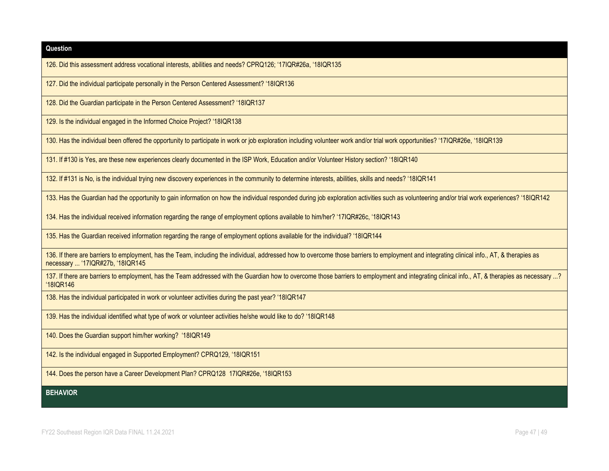126. Did this assessment address vocational interests, abilities and needs? CPRQ126; '17IQR#26a, '18IQR135

127. Did the individual participate personally in the Person Centered Assessment? '18IQR136

128. Did the Guardian participate in the Person Centered Assessment? '18IQR137

129. Is the individual engaged in the Informed Choice Project? '18IQR138

130. Has the individual been offered the opportunity to participate in work or job exploration including volunteer work and/or trial work opportunities? '17IQR#26e, '18IQR139

131. If #130 is Yes, are these new experiences clearly documented in the ISP Work, Education and/or Volunteer History section? '18IQR140

132. If #131 is No, is the individual trying new discovery experiences in the community to determine interests, abilities, skills and needs? '18IQR141

133. Has the Guardian had the opportunity to gain information on how the individual responded during job exploration activities such as volunteering and/or trial work experiences? '18IQR142

134. Has the individual received information regarding the range of employment options available to him/her? '17IQR#26c, '18IQR143

135. Has the Guardian received information regarding the range of employment options available for the individual? '18IQR144

136. If there are barriers to employment, has the Team, including the individual, addressed how to overcome those barriers to employment and integrating clinical info., AT, & therapies as necessary ... '17IQR#27b, '18IQR145

137. If there are barriers to employment, has the Team addressed with the Guardian how to overcome those barriers to employment and integrating clinical info., AT, & therapies as necessary ...? '18IQR146

138. Has the individual participated in work or volunteer activities during the past year? '18IQR147

139. Has the individual identified what type of work or volunteer activities he/she would like to do? '18IQR148

140. Does the Guardian support him/her working? '18IQR149

142. Is the individual engaged in Supported Employment? CPRQ129, '18IQR151

144. Does the person have a Career Development Plan? CPRQ128 17IQR#26e, '18IQR153

**BEHAVIOR**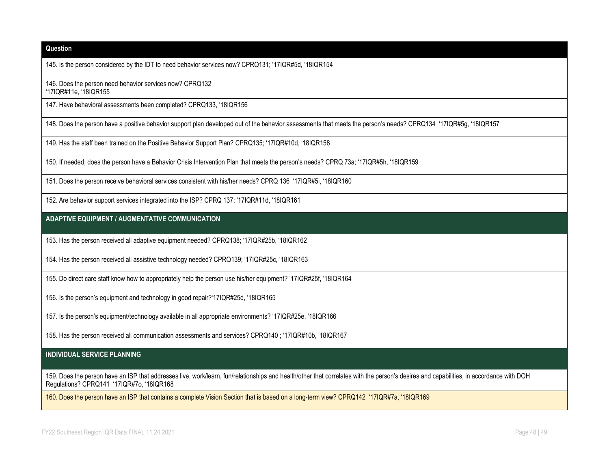145. Is the person considered by the IDT to need behavior services now? CPRQ131; '17IQR#5d, '18IQR154

146. Does the person need behavior services now? CPRQ132 '17IQR#11e, '18IQR155

147. Have behavioral assessments been completed? CPRQ133, '18IQR156

148. Does the person have a positive behavior support plan developed out of the behavior assessments that meets the person's needs? CPRQ134 '17IQR#5g, '18IQR157

149. Has the staff been trained on the Positive Behavior Support Plan? CPRQ135; '17IQR#10d, '18IQR158

150. If needed, does the person have a Behavior Crisis Intervention Plan that meets the person's needs? CPRQ 73a; '17IQR#5h, '18IQR159

151. Does the person receive behavioral services consistent with his/her needs? CPRQ 136 '17IQR#5i, '18IQR160

152. Are behavior support services integrated into the ISP? CPRQ 137; '17IQR#11d, '18IQR161

**ADAPTIVE EQUIPMENT / AUGMENTATIVE COMMUNICATION**

153. Has the person received all adaptive equipment needed? CPRQ138; '17IQR#25b, '18IQR162

154. Has the person received all assistive technology needed? CPRQ139; '17IQR#25c, '18IQR163

155. Do direct care staff know how to appropriately help the person use his/her equipment? '17IQR#25f, '18IQR164

156. Is the person's equipment and technology in good repair?'17IQR#25d, '18IQR165

157. Is the person's equipment/technology available in all appropriate environments? '17IQR#25e, '18IQR166

158. Has the person received all communication assessments and services? CPRQ140 ; '17IQR#10b, '18IQR167

#### **INDIVIDUAL SERVICE PLANNING**

159. Does the person have an ISP that addresses live, work/learn, fun/relationships and health/other that correlates with the person's desires and capabilities, in accordance with DOH Regulations? CPRQ141 '17IQR#7o, '18IQR168

160. Does the person have an ISP that contains a complete Vision Section that is based on a long-term view? CPRQ142 '17IQR#7a, '18IQR169